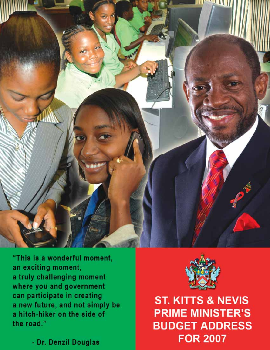

"This is a wonderful moment, an exciting moment, a truly challenging moment where you and government can participate in creating a new future, and not simply be a hitch-hiker on the side of the road."

- Dr. Denzil Douglas



**ST. KITTS & NEVIS PRIME MINISTER'S BUDGET ADDRESS FOR 2007**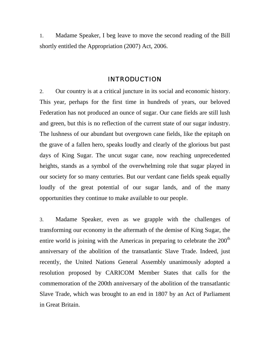1. Madame Speaker, I beg leave to move the second reading of the Bill shortly entitled the Appropriation (2007) Act, 2006.

## INTRODUCTION

2. Our country is at a critical juncture in its social and economic history. This year, perhaps for the first time in hundreds of years, our beloved Federation has not produced an ounce of sugar. Our cane fields are still lush and green, but this is no reflection of the current state of our sugar industry. The lushness of our abundant but overgrown cane fields, like the epitaph on the grave of a fallen hero, speaks loudly and clearly of the glorious but past days of King Sugar. The uncut sugar cane, now reaching unprecedented heights, stands as a symbol of the overwhelming role that sugar played in our society for so many centuries. But our verdant cane fields speak equally loudly of the great potential of our sugar lands, and of the many opportunities they continue to make available to our people.

3. Madame Speaker, even as we grapple with the challenges of transforming our economy in the aftermath of the demise of King Sugar, the entire world is joining with the Americas in preparing to celebrate the 200<sup>th</sup> anniversary of the abolition of the transatlantic Slave Trade. Indeed, just recently, the United Nations General Assembly unanimously adopted a resolution proposed by CARICOM Member States that calls for the commemoration of the 200th anniversary of the abolition of the transatlantic Slave Trade, which was brought to an end in 1807 by an Act of Parliament in Great Britain.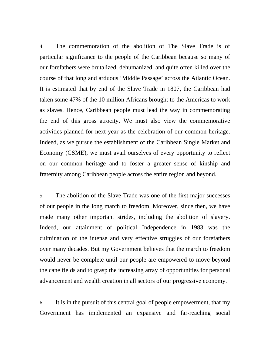4. The commemoration of the abolition of The Slave Trade is of particular significance to the people of the Caribbean because so many of our forefathers were brutalized, dehumanized, and quite often killed over the course of that long and arduous 'Middle Passage' across the Atlantic Ocean. It is estimated that by end of the Slave Trade in 1807, the Caribbean had taken some 47% of the 10 million Africans brought to the Americas to work as slaves. Hence, Caribbean people must lead the way in commemorating the end of this gross atrocity. We must also view the commemorative activities planned for next year as the celebration of our common heritage. Indeed, as we pursue the establishment of the Caribbean Single Market and Economy (CSME), we must avail ourselves of every opportunity to reflect on our common heritage and to foster a greater sense of kinship and fraternity among Caribbean people across the entire region and beyond.

5. The abolition of the Slave Trade was one of the first major successes of our people in the long march to freedom. Moreover, since then, we have made many other important strides, including the abolition of slavery. Indeed, our attainment of political Independence in 1983 was the culmination of the intense and very effective struggles of our forefathers over many decades. But my Government believes that the march to freedom would never be complete until our people are empowered to move beyond the cane fields and to grasp the increasing array of opportunities for personal advancement and wealth creation in all sectors of our progressive economy.

6. It is in the pursuit of this central goal of people empowerment, that my Government has implemented an expansive and far-reaching social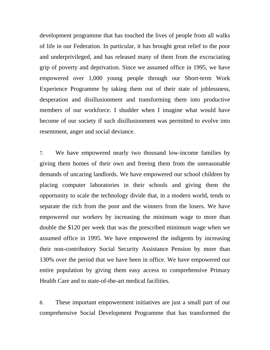development programme that has touched the lives of people from all walks of life in our Federation. In particular, it has brought great relief to the poor and underprivileged, and has released many of them from the excruciating grip of poverty and deprivation. Since we assumed office in 1995, we have empowered over 1,000 young people through our Short-term Work Experience Programme by taking them out of their state of joblessness, desperation and disillusionment and transforming them into productive members of our workforce. I shudder when I imagine what would have become of our society if such disillusionment was permitted to evolve into resentment, anger and social deviance.

7. We have empowered nearly two thousand low-income families by giving them homes of their own and freeing them from the unreasonable demands of uncaring landlords. We have empowered our school children by placing computer laboratories in their schools and giving them the opportunity to scale the technology divide that, in a modern world, tends to separate the rich from the poor and the winners from the losers. We have empowered our workers by increasing the minimum wage to more than double the \$120 per week that was the prescribed minimum wage when we assumed office in 1995. We have empowered the indigents by increasing their non-contributory Social Security Assistance Pension by more than 130% over the period that we have been in office. We have empowered our entire population by giving them easy access to comprehensive Primary Health Care and to state-of-the-art medical facilities.

8. These important empowerment initiatives are just a small part of our comprehensive Social Development Programme that has transformed the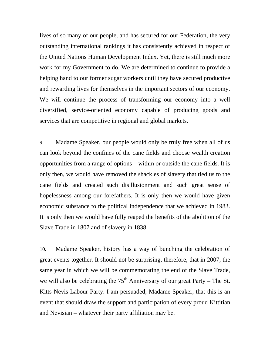lives of so many of our people, and has secured for our Federation, the very outstanding international rankings it has consistently achieved in respect of the United Nations Human Development Index. Yet, there is still much more work for my Government to do. We are determined to continue to provide a helping hand to our former sugar workers until they have secured productive and rewarding lives for themselves in the important sectors of our economy. We will continue the process of transforming our economy into a well diversified, service-oriented economy capable of producing goods and services that are competitive in regional and global markets.

9. Madame Speaker, our people would only be truly free when all of us can look beyond the confines of the cane fields and choose wealth creation opportunities from a range of options – within or outside the cane fields. It is only then, we would have removed the shackles of slavery that tied us to the cane fields and created such disillusionment and such great sense of hopelessness among our forefathers. It is only then we would have given economic substance to the political independence that we achieved in 1983. It is only then we would have fully reaped the benefits of the abolition of the Slave Trade in 1807 and of slavery in 1838.

10. Madame Speaker, history has a way of bunching the celebration of great events together. It should not be surprising, therefore, that in 2007, the same year in which we will be commemorating the end of the Slave Trade, we will also be celebrating the  $75<sup>th</sup>$  Anniversary of our great Party – The St. Kitts-Nevis Labour Party. I am persuaded, Madame Speaker, that this is an event that should draw the support and participation of every proud Kittitian and Nevisian – whatever their party affiliation may be.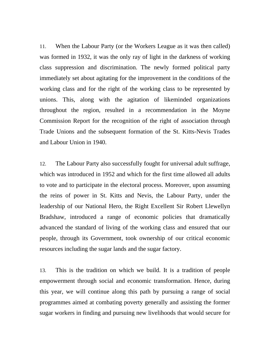11. When the Labour Party (or the Workers League as it was then called) was formed in 1932, it was the only ray of light in the darkness of working class suppression and discrimination. The newly formed political party immediately set about agitating for the improvement in the conditions of the working class and for the right of the working class to be represented by unions. This, along with the agitation of likeminded organizations throughout the region, resulted in a recommendation in the Moyne Commission Report for the recognition of the right of association through Trade Unions and the subsequent formation of the St. Kitts-Nevis Trades and Labour Union in 1940.

12. The Labour Party also successfully fought for universal adult suffrage, which was introduced in 1952 and which for the first time allowed all adults to vote and to participate in the electoral process. Moreover, upon assuming the reins of power in St. Kitts and Nevis, the Labour Party, under the leadership of our National Hero, the Right Excellent Sir Robert Llewellyn Bradshaw, introduced a range of economic policies that dramatically advanced the standard of living of the working class and ensured that our people, through its Government, took ownership of our critical economic resources including the sugar lands and the sugar factory.

13. This is the tradition on which we build. It is a tradition of people empowerment through social and economic transformation. Hence, during this year, we will continue along this path by pursuing a range of social programmes aimed at combating poverty generally and assisting the former sugar workers in finding and pursuing new livelihoods that would secure for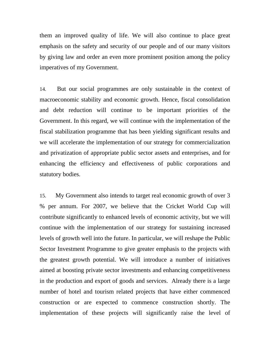them an improved quality of life. We will also continue to place great emphasis on the safety and security of our people and of our many visitors by giving law and order an even more prominent position among the policy imperatives of my Government.

14. But our social programmes are only sustainable in the context of macroeconomic stability and economic growth. Hence, fiscal consolidation and debt reduction will continue to be important priorities of the Government. In this regard, we will continue with the implementation of the fiscal stabilization programme that has been yielding significant results and we will accelerate the implementation of our strategy for commercialization and privatization of appropriate public sector assets and enterprises, and for enhancing the efficiency and effectiveness of public corporations and statutory bodies.

15. My Government also intends to target real economic growth of over 3 % per annum. For 2007, we believe that the Cricket World Cup will contribute significantly to enhanced levels of economic activity, but we will continue with the implementation of our strategy for sustaining increased levels of growth well into the future. In particular, we will reshape the Public Sector Investment Programme to give greater emphasis to the projects with the greatest growth potential. We will introduce a number of initiatives aimed at boosting private sector investments and enhancing competitiveness in the production and export of goods and services. Already there is a large number of hotel and tourism related projects that have either commenced construction or are expected to commence construction shortly. The implementation of these projects will significantly raise the level of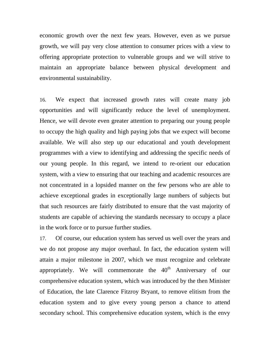economic growth over the next few years. However, even as we pursue growth, we will pay very close attention to consumer prices with a view to offering appropriate protection to vulnerable groups and we will strive to maintain an appropriate balance between physical development and environmental sustainability.

16. We expect that increased growth rates will create many job opportunities and will significantly reduce the level of unemployment. Hence, we will devote even greater attention to preparing our young people to occupy the high quality and high paying jobs that we expect will become available. We will also step up our educational and youth development programmes with a view to identifying and addressing the specific needs of our young people. In this regard, we intend to re-orient our education system, with a view to ensuring that our teaching and academic resources are not concentrated in a lopsided manner on the few persons who are able to achieve exceptional grades in exceptionally large numbers of subjects but that such resources are fairly distributed to ensure that the vast majority of students are capable of achieving the standards necessary to occupy a place in the work force or to pursue further studies.

17. Of course, our education system has served us well over the years and we do not propose any major overhaul. In fact, the education system will attain a major milestone in 2007, which we must recognize and celebrate appropriately. We will commemorate the  $40<sup>th</sup>$  Anniversary of our comprehensive education system, which was introduced by the then Minister of Education, the late Clarence Fitzroy Bryant, to remove elitism from the education system and to give every young person a chance to attend secondary school. This comprehensive education system, which is the envy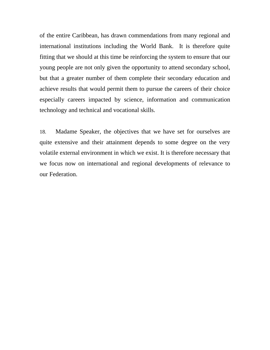of the entire Caribbean, has drawn commendations from many regional and international institutions including the World Bank. It is therefore quite fitting that we should at this time be reinforcing the system to ensure that our young people are not only given the opportunity to attend secondary school, but that a greater number of them complete their secondary education and achieve results that would permit them to pursue the careers of their choice especially careers impacted by science, information and communication technology and technical and vocational skills.

18. Madame Speaker, the objectives that we have set for ourselves are quite extensive and their attainment depends to some degree on the very volatile external environment in which we exist. It is therefore necessary that we focus now on international and regional developments of relevance to our Federation.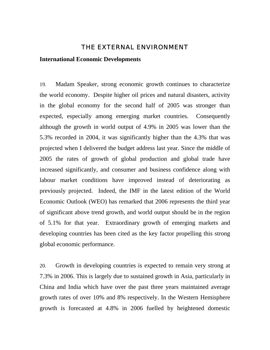## THE EXTERNAL ENVIRONMENT

#### **International Economic Developments**

19. Madam Speaker, strong economic growth continues to characterize the world economy. Despite higher oil prices and natural disasters, activity in the global economy for the second half of 2005 was stronger than expected, especially among emerging market countries. Consequently although the growth in world output of 4.9% in 2005 was lower than the 5.3% recorded in 2004, it was significantly higher than the 4.3% that was projected when I delivered the budget address last year. Since the middle of 2005 the rates of growth of global production and global trade have increased significantly, and consumer and business confidence along with labour market conditions have improved instead of deteriorating as previously projected. Indeed, the IMF in the latest edition of the World Economic Outlook (WEO) has remarked that 2006 represents the third year of significant above trend growth, and world output should be in the region of 5.1% for that year. Extraordinary growth of emerging markets and developing countries has been cited as the key factor propelling this strong global economic performance.

20. Growth in developing countries is expected to remain very strong at 7.3% in 2006. This is largely due to sustained growth in Asia, particularly in China and India which have over the past three years maintained average growth rates of over 10% and 8% respectively. In the Western Hemisphere growth is forecasted at 4.8% in 2006 fuelled by heightened domestic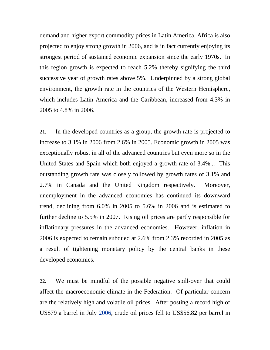demand and higher export commodity prices in Latin America. Africa is also projected to enjoy strong growth in 2006, and is in fact currently enjoying its strongest period of sustained economic expansion since the early 1970s. In this region growth is expected to reach 5.2% thereby signifying the third successive year of growth rates above 5%. Underpinned by a strong global environment, the growth rate in the countries of the Western Hemisphere, which includes Latin America and the Caribbean, increased from 4.3% in 2005 to 4.8% in 2006.

21. In the developed countries as a group, the growth rate is projected to increase to 3.1% in 2006 from 2.6% in 2005. Economic growth in 2005 was exceptionally robust in all of the advanced countries but even more so in the United States and Spain which both enjoyed a growth rate of 3.4%... This outstanding growth rate was closely followed by growth rates of 3.1% and 2.7% in Canada and the United Kingdom respectively. Moreover, unemployment in the advanced economies has continued its downward trend, declining from 6.0% in 2005 to 5.6% in 2006 and is estimated to further decline to 5.5% in 2007. Rising oil prices are partly responsible for inflationary pressures in the advanced economies. However, inflation in 2006 is expected to remain subdued at 2.6% from 2.3% recorded in 2005 as a result of tightening monetary policy by the central banks in these developed economies.

22. We must be mindful of the possible negative spill-over that could affect the macroeconomic climate in the Federation. Of particular concern are the relatively high and volatile oil prices. After posting a record high of US\$79 a barrel in July 2006, crude oil prices fell to US\$56.82 per barrel in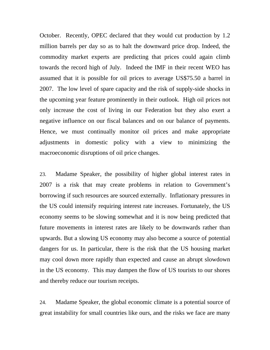October. Recently, OPEC declared that they would cut production by 1.2 million barrels per day so as to halt the downward price drop. Indeed, the commodity market experts are predicting that prices could again climb towards the record high of July. Indeed the IMF in their recent WEO has assumed that it is possible for oil prices to average US\$75.50 a barrel in 2007. The low level of spare capacity and the risk of supply-side shocks in the upcoming year feature prominently in their outlook. High oil prices not only increase the cost of living in our Federation but they also exert a negative influence on our fiscal balances and on our balance of payments. Hence, we must continually monitor oil prices and make appropriate adjustments in domestic policy with a view to minimizing the macroeconomic disruptions of oil price changes.

23. Madame Speaker, the possibility of higher global interest rates in 2007 is a risk that may create problems in relation to Government's borrowing if such resources are sourced externally. Inflationary pressures in the US could intensify requiring interest rate increases. Fortunately, the US economy seems to be slowing somewhat and it is now being predicted that future movements in interest rates are likely to be downwards rather than upwards. But a slowing US economy may also become a source of potential dangers for us. In particular, there is the risk that the US housing market may cool down more rapidly than expected and cause an abrupt slowdown in the US economy. This may dampen the flow of US tourists to our shores and thereby reduce our tourism receipts.

24. Madame Speaker, the global economic climate is a potential source of great instability for small countries like ours, and the risks we face are many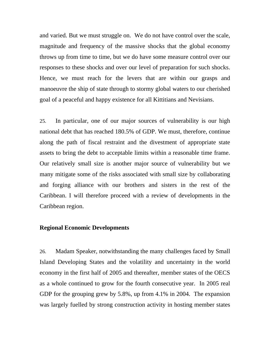and varied. But we must struggle on. We do not have control over the scale, magnitude and frequency of the massive shocks that the global economy throws up from time to time, but we do have some measure control over our responses to these shocks and over our level of preparation for such shocks. Hence, we must reach for the levers that are within our grasps and manoeuvre the ship of state through to stormy global waters to our cherished goal of a peaceful and happy existence for all Kittitians and Nevisians.

25. In particular, one of our major sources of vulnerability is our high national debt that has reached 180.5% of GDP. We must, therefore, continue along the path of fiscal restraint and the divestment of appropriate state assets to bring the debt to acceptable limits within a reasonable time frame. Our relatively small size is another major source of vulnerability but we many mitigate some of the risks associated with small size by collaborating and forging alliance with our brothers and sisters in the rest of the Caribbean. I will therefore proceed with a review of developments in the Caribbean region.

#### **Regional Economic Developments**

26. Madam Speaker, notwithstanding the many challenges faced by Small Island Developing States and the volatility and uncertainty in the world economy in the first half of 2005 and thereafter, member states of the OECS as a whole continued to grow for the fourth consecutive year. In 2005 real GDP for the grouping grew by 5.8%, up from 4.1% in 2004. The expansion was largely fuelled by strong construction activity in hosting member states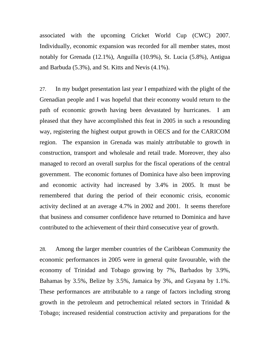associated with the upcoming Cricket World Cup (CWC) 2007. Individually, economic expansion was recorded for all member states, most notably for Grenada (12.1%), Anguilla (10.9%), St. Lucia (5.8%), Antigua and Barbuda (5.3%), and St. Kitts and Nevis (4.1%).

27. In my budget presentation last year I empathized with the plight of the Grenadian people and I was hopeful that their economy would return to the path of economic growth having been devastated by hurricanes. I am pleased that they have accomplished this feat in 2005 in such a resounding way, registering the highest output growth in OECS and for the CARICOM region. The expansion in Grenada was mainly attributable to growth in construction, transport and wholesale and retail trade. Moreover, they also managed to record an overall surplus for the fiscal operations of the central government. The economic fortunes of Dominica have also been improving and economic activity had increased by 3.4% in 2005. It must be remembered that during the period of their economic crisis, economic activity declined at an average 4.7% in 2002 and 2001. It seems therefore that business and consumer confidence have returned to Dominica and have contributed to the achievement of their third consecutive year of growth.

28. Among the larger member countries of the Caribbean Community the economic performances in 2005 were in general quite favourable, with the economy of Trinidad and Tobago growing by 7%, Barbados by 3.9%, Bahamas by 3.5%, Belize by 3.5%, Jamaica by 3%, and Guyana by 1.1%. These performances are attributable to a range of factors including strong growth in the petroleum and petrochemical related sectors in Trinidad & Tobago; increased residential construction activity and preparations for the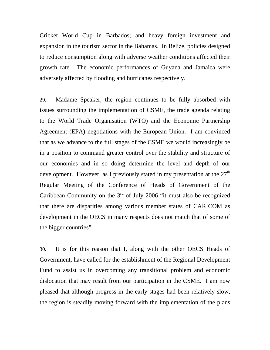Cricket World Cup in Barbados; and heavy foreign investment and expansion in the tourism sector in the Bahamas. In Belize, policies designed to reduce consumption along with adverse weather conditions affected their growth rate. The economic performances of Guyana and Jamaica were adversely affected by flooding and hurricanes respectively.

29. Madame Speaker, the region continues to be fully absorbed with issues surrounding the implementation of CSME, the trade agenda relating to the World Trade Organisation (WTO) and the Economic Partnership Agreement (EPA) negotiations with the European Union. I am convinced that as we advance to the full stages of the CSME we would increasingly be in a position to command greater control over the stability and structure of our economies and in so doing determine the level and depth of our development. However, as I previously stated in my presentation at the  $27<sup>th</sup>$ Regular Meeting of the Conference of Heads of Government of the Caribbean Community on the  $3<sup>rd</sup>$  of July 2006 "it must also be recognized that there are disparities among various member states of CARICOM as development in the OECS in many respects does not match that of some of the bigger countries".

30. It is for this reason that I, along with the other OECS Heads of Government, have called for the establishment of the Regional Development Fund to assist us in overcoming any transitional problem and economic dislocation that may result from our participation in the CSME. I am now pleased that although progress in the early stages had been relatively slow, the region is steadily moving forward with the implementation of the plans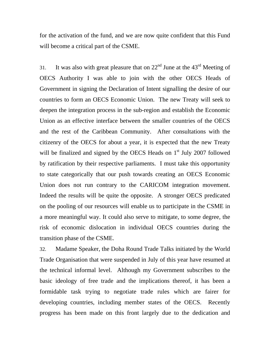for the activation of the fund, and we are now quite confident that this Fund will become a critical part of the CSME.

31. It was also with great pleasure that on  $22<sup>nd</sup>$  June at the  $43<sup>rd</sup>$  Meeting of OECS Authority I was able to join with the other OECS Heads of Government in signing the Declaration of Intent signalling the desire of our countries to form an OECS Economic Union. The new Treaty will seek to deepen the integration process in the sub-region and establish the Economic Union as an effective interface between the smaller countries of the OECS and the rest of the Caribbean Community. After consultations with the citizenry of the OECS for about a year, it is expected that the new Treaty will be finalized and signed by the OECS Heads on  $1<sup>st</sup>$  July 2007 followed by ratification by their respective parliaments. I must take this opportunity to state categorically that our push towards creating an OECS Economic Union does not run contrary to the CARICOM integration movement. Indeed the results will be quite the opposite. A stronger OECS predicated on the pooling of our resources will enable us to participate in the CSME in a more meaningful way. It could also serve to mitigate, to some degree, the risk of economic dislocation in individual OECS countries during the transition phase of the CSME.

32. Madame Speaker, the Doha Round Trade Talks initiated by the World Trade Organisation that were suspended in July of this year have resumed at the technical informal level. Although my Government subscribes to the basic ideology of free trade and the implications thereof, it has been a formidable task trying to negotiate trade rules which are fairer for developing countries, including member states of the OECS. Recently progress has been made on this front largely due to the dedication and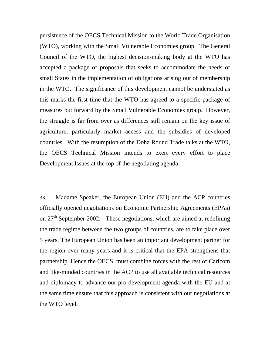persistence of the OECS Technical Mission to the World Trade Organisation (WTO), working with the Small Vulnerable Economies group. The General Council of the WTO, the highest decision-making body at the WTO has accepted a package of proposals that seeks to accommodate the needs of small States in the implementation of obligations arising out of membership in the WTO. The significance of this development cannot be understated as this marks the first time that the WTO has agreed to a specific package of measures put forward by the Small Vulnerable Economies group. However, the struggle is far from over as differences still remain on the key issue of agriculture, particularly market access and the subsidies of developed countries. With the resumption of the Doha Round Trade talks at the WTO, the OECS Technical Mission intends to exert every effort to place Development Issues at the top of the negotiating agenda.

33. Madame Speaker, the European Union (EU) and the ACP countries officially opened negotiations on Economic Partnership Agreements (EPAs) on  $27<sup>th</sup>$  September 2002. These negotiations, which are aimed at redefining the trade regime between the two groups of countries, are to take place over 5 years. The European Union has been an important development partner for the region over many years and it is critical that the EPA strengthens that partnership. Hence the OECS, must combine forces with the rest of Caricom and like-minded countries in the ACP to use all available technical resources and diplomacy to advance our pro-development agenda with the EU and at the same time ensure that this approach is consistent with our negotiations at the WTO level.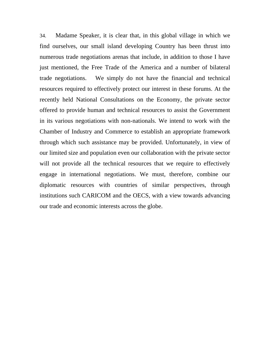34. Madame Speaker, it is clear that, in this global village in which we find ourselves, our small island developing Country has been thrust into numerous trade negotiations arenas that include, in addition to those I have just mentioned, the Free Trade of the America and a number of bilateral trade negotiations. We simply do not have the financial and technical resources required to effectively protect our interest in these forums. At the recently held National Consultations on the Economy, the private sector offered to provide human and technical resources to assist the Government in its various negotiations with non-nationals. We intend to work with the Chamber of Industry and Commerce to establish an appropriate framework through which such assistance may be provided. Unfortunately, in view of our limited size and population even our collaboration with the private sector will not provide all the technical resources that we require to effectively engage in international negotiations. We must, therefore, combine our diplomatic resources with countries of similar perspectives, through institutions such CARICOM and the OECS, with a view towards advancing our trade and economic interests across the globe.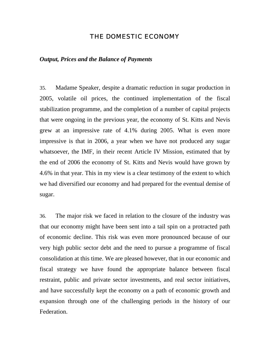## THE DOMESTIC ECONOMY

### *Output, Prices and the Balance of Payments*

35. Madame Speaker, despite a dramatic reduction in sugar production in 2005, volatile oil prices, the continued implementation of the fiscal stabilization programme, and the completion of a number of capital projects that were ongoing in the previous year, the economy of St. Kitts and Nevis grew at an impressive rate of 4.1% during 2005. What is even more impressive is that in 2006, a year when we have not produced any sugar whatsoever, the IMF, in their recent Article IV Mission, estimated that by the end of 2006 the economy of St. Kitts and Nevis would have grown by 4.6% in that year. This in my view is a clear testimony of the extent to which we had diversified our economy and had prepared for the eventual demise of sugar.

36. The major risk we faced in relation to the closure of the industry was that our economy might have been sent into a tail spin on a protracted path of economic decline. This risk was even more pronounced because of our very high public sector debt and the need to pursue a programme of fiscal consolidation at this time. We are pleased however, that in our economic and fiscal strategy we have found the appropriate balance between fiscal restraint, public and private sector investments, and real sector initiatives, and have successfully kept the economy on a path of economic growth and expansion through one of the challenging periods in the history of our Federation.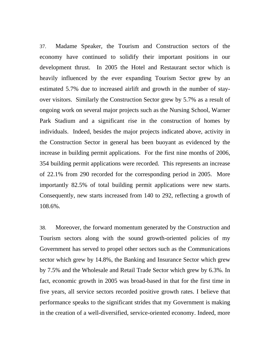37. Madame Speaker, the Tourism and Construction sectors of the economy have continued to solidify their important positions in our development thrust. In 2005 the Hotel and Restaurant sector which is heavily influenced by the ever expanding Tourism Sector grew by an estimated 5.7% due to increased airlift and growth in the number of stayover visitors. Similarly the Construction Sector grew by 5.7% as a result of ongoing work on several major projects such as the Nursing School, Warner Park Stadium and a significant rise in the construction of homes by individuals. Indeed, besides the major projects indicated above, activity in the Construction Sector in general has been buoyant as evidenced by the increase in building permit applications. For the first nine months of 2006, 354 building permit applications were recorded. This represents an increase of 22.1% from 290 recorded for the corresponding period in 2005. More importantly 82.5% of total building permit applications were new starts. Consequently, new starts increased from 140 to 292, reflecting a growth of 108.6%.

38. Moreover, the forward momentum generated by the Construction and Tourism sectors along with the sound growth-oriented policies of my Government has served to propel other sectors such as the Communications sector which grew by 14.8%, the Banking and Insurance Sector which grew by 7.5% and the Wholesale and Retail Trade Sector which grew by 6.3%. In fact, economic growth in 2005 was broad-based in that for the first time in five years, all service sectors recorded positive growth rates. I believe that performance speaks to the significant strides that my Government is making in the creation of a well-diversified, service-oriented economy. Indeed, more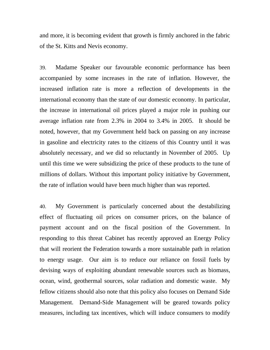and more, it is becoming evident that growth is firmly anchored in the fabric of the St. Kitts and Nevis economy.

39. Madame Speaker our favourable economic performance has been accompanied by some increases in the rate of inflation. However, the increased inflation rate is more a reflection of developments in the international economy than the state of our domestic economy. In particular, the increase in international oil prices played a major role in pushing our average inflation rate from 2.3% in 2004 to 3.4% in 2005. It should be noted, however, that my Government held back on passing on any increase in gasoline and electricity rates to the citizens of this Country until it was absolutely necessary, and we did so reluctantly in November of 2005. Up until this time we were subsidizing the price of these products to the tune of millions of dollars. Without this important policy initiative by Government, the rate of inflation would have been much higher than was reported.

40. My Government is particularly concerned about the destabilizing effect of fluctuating oil prices on consumer prices, on the balance of payment account and on the fiscal position of the Government. In responding to this threat Cabinet has recently approved an Energy Policy that will reorient the Federation towards a more sustainable path in relation to energy usage. Our aim is to reduce our reliance on fossil fuels by devising ways of exploiting abundant renewable sources such as biomass, ocean, wind, geothermal sources, solar radiation and domestic waste. My fellow citizens should also note that this policy also focuses on Demand Side Management. Demand-Side Management will be geared towards policy measures, including tax incentives, which will induce consumers to modify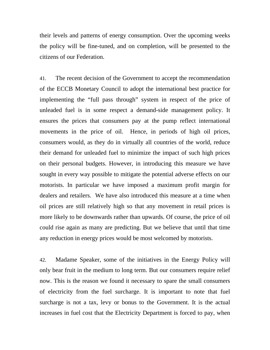their levels and patterns of energy consumption. Over the upcoming weeks the policy will be fine-tuned, and on completion, will be presented to the citizens of our Federation.

41. The recent decision of the Government to accept the recommendation of the ECCB Monetary Council to adopt the international best practice for implementing the "full pass through" system in respect of the price of unleaded fuel is in some respect a demand-side management policy. It ensures the prices that consumers pay at the pump reflect international movements in the price of oil. Hence, in periods of high oil prices, consumers would, as they do in virtually all countries of the world, reduce their demand for unleaded fuel to minimize the impact of such high prices on their personal budgets. However, in introducing this measure we have sought in every way possible to mitigate the potential adverse effects on our motorists. In particular we have imposed a maximum profit margin for dealers and retailers. We have also introduced this measure at a time when oil prices are still relatively high so that any movement in retail prices is more likely to be downwards rather than upwards. Of course, the price of oil could rise again as many are predicting. But we believe that until that time any reduction in energy prices would be most welcomed by motorists.

42. Madame Speaker, some of the initiatives in the Energy Policy will only bear fruit in the medium to long term. But our consumers require relief now. This is the reason we found it necessary to spare the small consumers of electricity from the fuel surcharge. It is important to note that fuel surcharge is not a tax, levy or bonus to the Government. It is the actual increases in fuel cost that the Electricity Department is forced to pay, when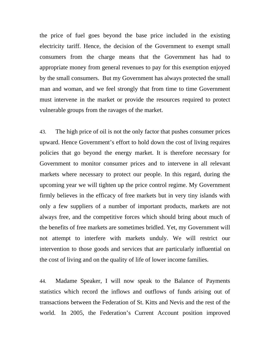the price of fuel goes beyond the base price included in the existing electricity tariff. Hence, the decision of the Government to exempt small consumers from the charge means that the Government has had to appropriate money from general revenues to pay for this exemption enjoyed by the small consumers. But my Government has always protected the small man and woman, and we feel strongly that from time to time Government must intervene in the market or provide the resources required to protect vulnerable groups from the ravages of the market.

43. The high price of oil is not the only factor that pushes consumer prices upward. Hence Government's effort to hold down the cost of living requires policies that go beyond the energy market. It is therefore necessary for Government to monitor consumer prices and to intervene in all relevant markets where necessary to protect our people. In this regard, during the upcoming year we will tighten up the price control regime. My Government firmly believes in the efficacy of free markets but in very tiny islands with only a few suppliers of a number of important products, markets are not always free, and the competitive forces which should bring about much of the benefits of free markets are sometimes bridled. Yet, my Government will not attempt to interfere with markets unduly. We will restrict our intervention to those goods and services that are particularly influential on the cost of living and on the quality of life of lower income families.

44. Madame Speaker, I will now speak to the Balance of Payments statistics which record the inflows and outflows of funds arising out of transactions between the Federation of St. Kitts and Nevis and the rest of the world. In 2005, the Federation's Current Account position improved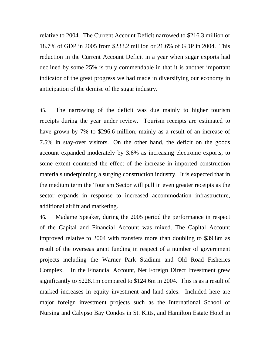relative to 2004. The Current Account Deficit narrowed to \$216.3 million or 18.7% of GDP in 2005 from \$233.2 million or 21.6% of GDP in 2004. This reduction in the Current Account Deficit in a year when sugar exports had declined by some 25% is truly commendable in that it is another important indicator of the great progress we had made in diversifying our economy in anticipation of the demise of the sugar industry.

45. The narrowing of the deficit was due mainly to higher tourism receipts during the year under review. Tourism receipts are estimated to have grown by 7% to \$296.6 million, mainly as a result of an increase of 7.5% in stay-over visitors. On the other hand, the deficit on the goods account expanded moderately by 3.6% as increasing electronic exports, to some extent countered the effect of the increase in imported construction materials underpinning a surging construction industry. It is expected that in the medium term the Tourism Sector will pull in even greater receipts as the sector expands in response to increased accommodation infrastructure, additional airlift and marketing.

46. Madame Speaker, during the 2005 period the performance in respect of the Capital and Financial Account was mixed. The Capital Account improved relative to 2004 with transfers more than doubling to \$39.8m as result of the overseas grant funding in respect of a number of government projects including the Warner Park Stadium and Old Road Fisheries Complex. In the Financial Account, Net Foreign Direct Investment grew significantly to \$228.1m compared to \$124.6m in 2004. This is as a result of marked increases in equity investment and land sales. Included here are major foreign investment projects such as the International School of Nursing and Calypso Bay Condos in St. Kitts, and Hamilton Estate Hotel in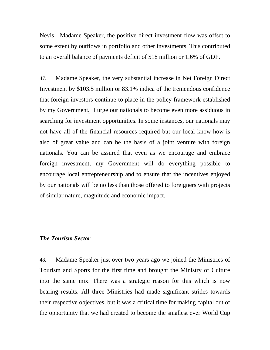Nevis. Madame Speaker, the positive direct investment flow was offset to some extent by outflows in portfolio and other investments. This contributed to an overall balance of payments deficit of \$18 million or 1.6% of GDP.

47. Madame Speaker, the very substantial increase in Net Foreign Direct Investment by \$103.5 million or 83.1% indica of the tremendous confidence that foreign investors continue to place in the policy framework established by my Government**.** I urge our nationals to become even more assiduous in searching for investment opportunities. In some instances, our nationals may not have all of the financial resources required but our local know-how is also of great value and can be the basis of a joint venture with foreign nationals. You can be assured that even as we encourage and embrace foreign investment, my Government will do everything possible to encourage local entrepreneurship and to ensure that the incentives enjoyed by our nationals will be no less than those offered to foreigners with projects of similar nature, magnitude and economic impact.

### *The Tourism Sector*

48. Madame Speaker just over two years ago we joined the Ministries of Tourism and Sports for the first time and brought the Ministry of Culture into the same mix. There was a strategic reason for this which is now bearing results. All three Ministries had made significant strides towards their respective objectives, but it was a critical time for making capital out of the opportunity that we had created to become the smallest ever World Cup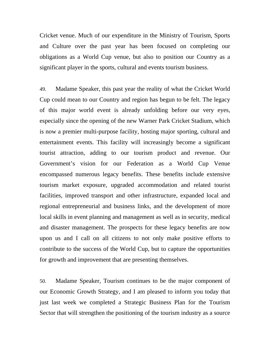Cricket venue. Much of our expenditure in the Ministry of Tourism, Sports and Culture over the past year has been focused on completing our obligations as a World Cup venue, but also to position our Country as a significant player in the sports, cultural and events tourism business.

49. Madame Speaker, this past year the reality of what the Cricket World Cup could mean to our Country and region has begun to be felt. The legacy of this major world event is already unfolding before our very eyes, especially since the opening of the new Warner Park Cricket Stadium, which is now a premier multi-purpose facility, hosting major sporting, cultural and entertainment events. This facility will increasingly become a significant tourist attraction, adding to our tourism product and revenue. Our Government's vision for our Federation as a World Cup Venue encompassed numerous legacy benefits. These benefits include extensive tourism market exposure, upgraded accommodation and related tourist facilities, improved transport and other infrastructure, expanded local and regional entrepreneurial and business links, and the development of more local skills in event planning and management as well as in security, medical and disaster management. The prospects for these legacy benefits are now upon us and I call on all citizens to not only make positive efforts to contribute to the success of the World Cup, but to capture the opportunities for growth and improvement that are presenting themselves.

50. Madame Speaker, Tourism continues to be the major component of our Economic Growth Strategy, and I am pleased to inform you today that just last week we completed a Strategic Business Plan for the Tourism Sector that will strengthen the positioning of the tourism industry as a source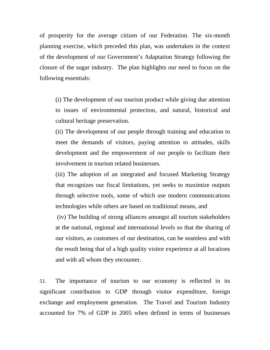of prosperity for the average citizen of our Federation. The six-month planning exercise, which preceded this plan, was undertaken in the context of the development of our Government's Adaptation Strategy following the closure of the sugar industry. The plan highlights our need to focus on the following essentials:

(i) The development of our tourism product while giving due attention to issues of environmental protection, and natural, historical and cultural heritage preservation.

(ii) The development of our people through training and education to meet the demands of visitors, paying attention to attitudes, skills development and the empowerment of our people to facilitate their involvement in tourism related businesses.

(iii) The adoption of an integrated and focused Marketing Strategy that recognizes our fiscal limitations, yet seeks to maximize outputs through selective tools, some of which use modern communications technologies while others are based on traditional means, and

 (iv) The building of strong alliances amongst all tourism stakeholders at the national, regional and international levels so that the sharing of our visitors, as customers of our destination, can be seamless and with the result being that of a high quality visitor experience at all locations and with all whom they encounter.

51. The importance of tourism to our economy is reflected in its significant contribution to GDP through visitor expenditure, foreign exchange and employment generation. The Travel and Tourism Industry accounted for 7% of GDP in 2005 when defined in terms of businesses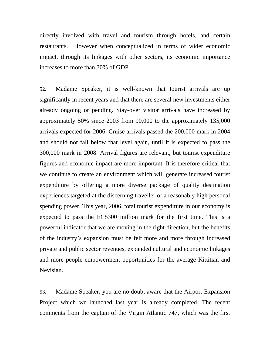directly involved with travel and tourism through hotels, and certain restaurants. However when conceptualized in terms of wider economic impact, through its linkages with other sectors, its economic importance increases to more than 30% of GDP.

52. Madame Speaker, it is well-known that tourist arrivals are up significantly in recent years and that there are several new investments either already ongoing or pending. Stay-over visitor arrivals have increased by approximately 50% since 2003 from 90,000 to the approximately 135,000 arrivals expected for 2006. Cruise arrivals passed the 200,000 mark in 2004 and should not fall below that level again, until it is expected to pass the 300,000 mark in 2008. Arrival figures are relevant, but tourist expenditure figures and economic impact are more important. It is therefore critical that we continue to create an environment which will generate increased tourist expenditure by offering a more diverse package of quality destination experiences targeted at the discerning traveller of a reasonably high personal spending power. This year, 2006, total tourist expenditure in our economy is expected to pass the EC\$300 million mark for the first time. This is a powerful indicator that we are moving in the right direction, but the benefits of the industry's expansion must be felt more and more through increased private and public sector revenues, expanded cultural and economic linkages and more people empowerment opportunities for the average Kittitian and Nevisian.

53. Madame Speaker, you are no doubt aware that the Airport Expansion Project which we launched last year is already completed. The recent comments from the captain of the Virgin Atlantic 747, which was the first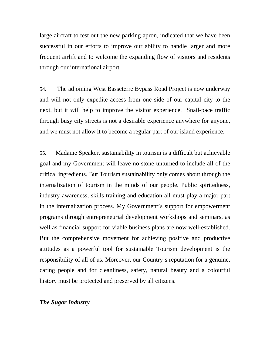large aircraft to test out the new parking apron, indicated that we have been successful in our efforts to improve our ability to handle larger and more frequent airlift and to welcome the expanding flow of visitors and residents through our international airport.

54. The adjoining West Basseterre Bypass Road Project is now underway and will not only expedite access from one side of our capital city to the next, but it will help to improve the visitor experience. Snail-pace traffic through busy city streets is not a desirable experience anywhere for anyone, and we must not allow it to become a regular part of our island experience.

55. Madame Speaker, sustainability in tourism is a difficult but achievable goal and my Government will leave no stone unturned to include all of the critical ingredients. But Tourism sustainability only comes about through the internalization of tourism in the minds of our people. Public spiritedness, industry awareness, skills training and education all must play a major part in the internalization process. My Government's support for empowerment programs through entrepreneurial development workshops and seminars, as well as financial support for viable business plans are now well-established. But the comprehensive movement for achieving positive and productive attitudes as a powerful tool for sustainable Tourism development is the responsibility of all of us. Moreover, our Country's reputation for a genuine, caring people and for cleanliness, safety, natural beauty and a colourful history must be protected and preserved by all citizens.

# *The Sugar Industry*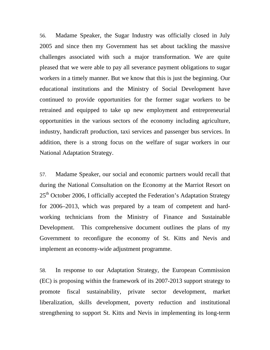56. Madame Speaker, the Sugar Industry was officially closed in July 2005 and since then my Government has set about tackling the massive challenges associated with such a major transformation. We are quite pleased that we were able to pay all severance payment obligations to sugar workers in a timely manner. But we know that this is just the beginning. Our educational institutions and the Ministry of Social Development have continued to provide opportunities for the former sugar workers to be retrained and equipped to take up new employment and entrepreneurial opportunities in the various sectors of the economy including agriculture, industry, handicraft production, taxi services and passenger bus services. In addition, there is a strong focus on the welfare of sugar workers in our National Adaptation Strategy.

57. Madame Speaker, our social and economic partners would recall that during the National Consultation on the Economy at the Marriot Resort on  $25<sup>th</sup>$  October 2006, I officially accepted the Federation's Adaptation Strategy for 2006–2013, which was prepared by a team of competent and hardworking technicians from the Ministry of Finance and Sustainable Development. This comprehensive document outlines the plans of my Government to reconfigure the economy of St. Kitts and Nevis and implement an economy-wide adjustment programme.

58. In response to our Adaptation Strategy, the European Commission (EC) is proposing within the framework of its 2007-2013 support strategy to promote fiscal sustainability, private sector development, market liberalization, skills development, poverty reduction and institutional strengthening to support St. Kitts and Nevis in implementing its long-term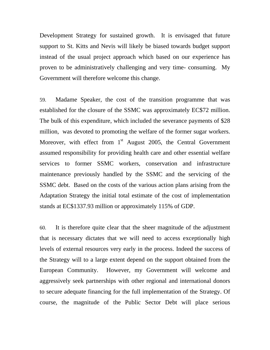Development Strategy for sustained growth. It is envisaged that future support to St. Kitts and Nevis will likely be biased towards budget support instead of the usual project approach which based on our experience has proven to be administratively challenging and very time- consuming. My Government will therefore welcome this change.

59. Madame Speaker, the cost of the transition programme that was established for the closure of the SSMC was approximately EC\$72 million. The bulk of this expenditure, which included the severance payments of \$28 million, was devoted to promoting the welfare of the former sugar workers. Moreover, with effect from  $1<sup>st</sup>$  August 2005, the Central Government assumed responsibility for providing health care and other essential welfare services to former SSMC workers, conservation and infrastructure maintenance previously handled by the SSMC and the servicing of the SSMC debt. Based on the costs of the various action plans arising from the Adaptation Strategy the initial total estimate of the cost of implementation stands at EC\$1337.93 million or approximately 115% of GDP.

60. It is therefore quite clear that the sheer magnitude of the adjustment that is necessary dictates that we will need to access exceptionally high levels of external resources very early in the process. Indeed the success of the Strategy will to a large extent depend on the support obtained from the European Community. However, my Government will welcome and aggressively seek partnerships with other regional and international donors to secure adequate financing for the full implementation of the Strategy. Of course, the magnitude of the Public Sector Debt will place serious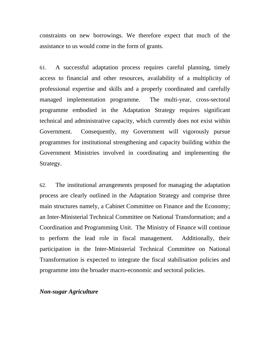constraints on new borrowings. We therefore expect that much of the assistance to us would come in the form of grants.

61. A successful adaptation process requires careful planning, timely access to financial and other resources, availability of a multiplicity of professional expertise and skills and a properly coordinated and carefully managed implementation programme. The multi-year, cross-sectoral programme embodied in the Adaptation Strategy requires significant technical and administrative capacity, which currently does not exist within Government. Consequently, my Government will vigorously pursue programmes for institutional strengthening and capacity building within the Government Ministries involved in coordinating and implementing the Strategy.

62. The institutional arrangements proposed for managing the adaptation process are clearly outlined in the Adaptation Strategy and comprise three main structures namely, a Cabinet Committee on Finance and the Economy; an Inter-Ministerial Technical Committee on National Transformation; and a Coordination and Programming Unit. The Ministry of Finance will continue to perform the lead role in fiscal management. Additionally, their participation in the Inter-Ministerial Technical Committee on National Transformation is expected to integrate the fiscal stabilisation policies and programme into the broader macro-economic and sectoral policies.

### *Non-sugar Agriculture*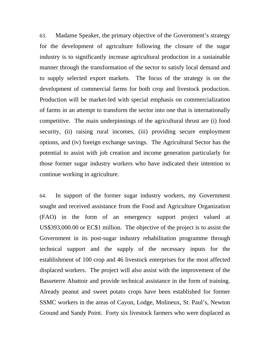63. Madame Speaker, the primary objective of the Government's strategy for the development of agriculture following the closure of the sugar industry is to significantly increase agricultural production in a sustainable manner through the transformation of the sector to satisfy local demand and to supply selected export markets. The focus of the strategy is on the development of commercial farms for both crop and livestock production. Production will be market-led with special emphasis on commercialization of farms in an attempt to transform the sector into one that is internationally competitive. The main underpinnings of the agricultural thrust are (i) food security, (ii) raising rural incomes, (iii) providing secure employment options, and (iv) foreign exchange savings. The Agricultural Sector has the potential to assist with job creation and income generation particularly for those former sugar industry workers who have indicated their intention to continue working in agriculture.

64. In support of the former sugar industry workers, my Government sought and received assistance from the Food and Agriculture Organization (FAO) in the form of an emergency support project valued at US\$393,000.00 or EC\$1 million. The objective of the project is to assist the Government in its post-sugar industry rehabilitation programme through technical support and the supply of the necessary inputs for the establishment of 100 crop and 46 livestock enterprises for the most affected displaced workers. The project will also assist with the improvement of the Basseterre Abattoir and provide technical assistance in the form of training. Already peanut and sweet potato crops have been established for former SSMC workers in the areas of Cayon, Lodge, Molineux, St. Paul's, Newton Ground and Sandy Point. Forty six livestock farmers who were displaced as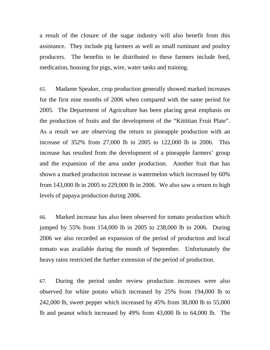a result of the closure of the sugar industry will also benefit from this assistance. They include pig farmers as well as small ruminant and poultry producers. The benefits to be distributed to these farmers include feed, medication, housing for pigs, wire, water tanks and training.

65. Madame Speaker, crop production generally showed marked increases for the first nine months of 2006 when compared with the same period for 2005. The Department of Agriculture has been placing great emphasis on the production of fruits and the development of the "Kittitian Fruit Plate". As a result we are observing the return to pineapple production with an increase of 352% from 27,000 lb in 2005 to 122,000 lb in 2006. This increase has resulted from the development of a pineapple farmers' group and the expansion of the area under production. Another fruit that has shown a marked production increase is watermelon which increased by 60% from 143,000 lb in 2005 to 229,000 lb in 2006. We also saw a return to high levels of papaya production during 2006.

66. Marked increase has also been observed for tomato production which jumped by 55% from 154,000 lb in 2005 to 238,000 lb in 2006. During 2006 we also recorded an expansion of the period of production and local tomato was available during the month of September. Unfortunately the heavy rains restricted the further extension of the period of production.

67. During the period under review production increases were also observed for white potato which increased by 25% from 194,000 lb to 242,000 lb, sweet pepper which increased by 45% from 38,000 lb to 55,000 lb and peanut which increased by 49% from 43,000 lb to 64,000 lb. The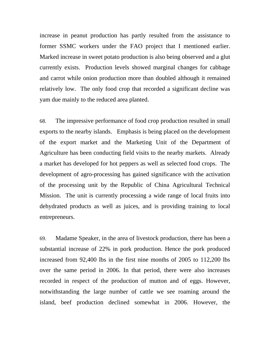increase in peanut production has partly resulted from the assistance to former SSMC workers under the FAO project that I mentioned earlier. Marked increase in sweet potato production is also being observed and a glut currently exists. Production levels showed marginal changes for cabbage and carrot while onion production more than doubled although it remained relatively low. The only food crop that recorded a significant decline was yam due mainly to the reduced area planted.

68. The impressive performance of food crop production resulted in small exports to the nearby islands. Emphasis is being placed on the development of the export market and the Marketing Unit of the Department of Agriculture has been conducting field visits to the nearby markets. Already a market has developed for hot peppers as well as selected food crops. The development of agro-processing has gained significance with the activation of the processing unit by the Republic of China Agricultural Technical Mission. The unit is currently processing a wide range of local fruits into dehydrated products as well as juices, and is providing training to local entrepreneurs.

69. Madame Speaker, in the area of livestock production, there has been a substantial increase of 22% in pork production. Hence the pork produced increased from 92,400 lbs in the first nine months of 2005 to 112,200 lbs over the same period in 2006. In that period, there were also increases recorded in respect of the production of mutton and of eggs. However, notwithstanding the large number of cattle we see roaming around the island, beef production declined somewhat in 2006. However, the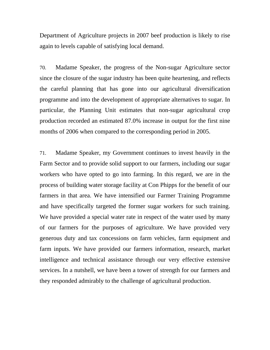Department of Agriculture projects in 2007 beef production is likely to rise again to levels capable of satisfying local demand.

70. Madame Speaker, the progress of the Non-sugar Agriculture sector since the closure of the sugar industry has been quite heartening, and reflects the careful planning that has gone into our agricultural diversification programme and into the development of appropriate alternatives to sugar. In particular, the Planning Unit estimates that non-sugar agricultural crop production recorded an estimated 87.0% increase in output for the first nine months of 2006 when compared to the corresponding period in 2005.

71. Madame Speaker, my Government continues to invest heavily in the Farm Sector and to provide solid support to our farmers, including our sugar workers who have opted to go into farming. In this regard, we are in the process of building water storage facility at Con Phipps for the benefit of our farmers in that area. We have intensified our Farmer Training Programme and have specifically targeted the former sugar workers for such training. We have provided a special water rate in respect of the water used by many of our farmers for the purposes of agriculture. We have provided very generous duty and tax concessions on farm vehicles, farm equipment and farm inputs. We have provided our farmers information, research, market intelligence and technical assistance through our very effective extensive services. In a nutshell, we have been a tower of strength for our farmers and they responded admirably to the challenge of agricultural production.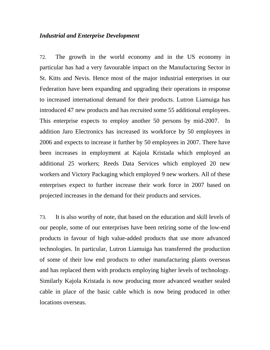### *Industrial and Enterprise Development*

72. The growth in the world economy and in the US economy in particular has had a very favourable impact on the Manufacturing Sector in St. Kitts and Nevis. Hence most of the major industrial enterprises in our Federation have been expanding and upgrading their operations in response to increased international demand for their products. Lutron Liamuiga has introduced 47 new products and has recruited some 55 additional employees. This enterprise expects to employ another 50 persons by mid-2007. In addition Jaro Electronics has increased its workforce by 50 employees in 2006 and expects to increase it further by 50 employees in 2007. There have been increases in employment at Kajola Kristada which employed an additional 25 workers; Reeds Data Services which employed 20 new workers and Victory Packaging which employed 9 new workers. All of these enterprises expect to further increase their work force in 2007 based on projected increases in the demand for their products and services.

73. It is also worthy of note, that based on the education and skill levels of our people, some of our enterprises have been retiring some of the low-end products in favour of high value-added products that use more advanced technologies. In particular, Lutron Liamuiga has transferred the production of some of their low end products to other manufacturing plants overseas and has replaced them with products employing higher levels of technology. Similarly Kajola Kristada is now producing more advanced weather sealed cable in place of the basic cable which is now being produced in other locations overseas.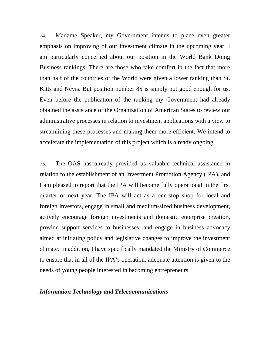74. Madame Speaker, my Government intends to place even greater emphasis on improving of our investment climate in the upcoming year. I am particularly concerned about our position in the World Bank Doing Business rankings. There are those who take comfort in the fact that more than half of the countries of the World were given a lower ranking than St. Kitts and Nevis. But position number 85 is simply not good enough for us. Even before the publication of the ranking my Government had already obtained the assistance of the Organization of American States to review our administrative processes in relation to investment applications with a view to streamlining these processes and making them more efficient. We intend to accelerate the implementation of this project which is already ongoing.

75. The OAS has already provided us valuable technical assistance in relation to the establishment of an Investment Promotion Agency (IPA), and I am pleased to report that the IPA will become fully operational in the first quarter of next year. The IPA will act as a one-stop shop for local and foreign investors, engage in small and medium-sized business development, actively encourage foreign investments and domestic enterprise creation, provide support services to businesses, and engage in business advocacy aimed at initiating policy and legislative changes to improve the investment climate. In addition, I have specifically mandated the Ministry of Commerce to ensure that in all of the IPA's operation, adequate attention is given to the needs of young people interested in becoming entrepreneurs.

### *Information Technology and Telecommunications*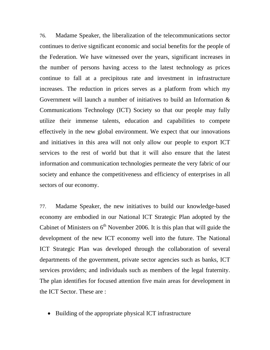76. Madame Speaker, the liberalization of the telecommunications sector continues to derive significant economic and social benefits for the people of the Federation. We have witnessed over the years, significant increases in the number of persons having access to the latest technology as prices continue to fall at a precipitous rate and investment in infrastructure increases. The reduction in prices serves as a platform from which my Government will launch a number of initiatives to build an Information & Communications Technology (ICT) Society so that our people may fully utilize their immense talents, education and capabilities to compete effectively in the new global environment. We expect that our innovations and initiatives in this area will not only allow our people to export ICT services to the rest of world but that it will also ensure that the latest information and communication technologies permeate the very fabric of our society and enhance the competitiveness and efficiency of enterprises in all sectors of our economy.

77. Madame Speaker, the new initiatives to build our knowledge-based economy are embodied in our National ICT Strategic Plan adopted by the Cabinet of Ministers on  $6<sup>th</sup>$  November 2006. It is this plan that will guide the development of the new ICT economy well into the future. The National ICT Strategic Plan was developed through the collaboration of several departments of the government, private sector agencies such as banks, ICT services providers; and individuals such as members of the legal fraternity. The plan identifies for focused attention five main areas for development in the ICT Sector. These are :

• Building of the appropriate physical ICT infrastructure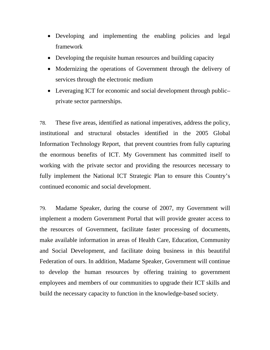- Developing and implementing the enabling policies and legal framework
- Developing the requisite human resources and building capacity
- Modernizing the operations of Government through the delivery of services through the electronic medium
- Leveraging ICT for economic and social development through publicprivate sector partnerships.

78. These five areas, identified as national imperatives, address the policy, institutional and structural obstacles identified in the 2005 Global Information Technology Report, that prevent countries from fully capturing the enormous benefits of ICT. My Government has committed itself to working with the private sector and providing the resources necessary to fully implement the National ICT Strategic Plan to ensure this Country's continued economic and social development.

79. Madame Speaker, during the course of 2007, my Government will implement a modern Government Portal that will provide greater access to the resources of Government, facilitate faster processing of documents, make available information in areas of Health Care, Education, Community and Social Development, and facilitate doing business in this beautiful Federation of ours. In addition, Madame Speaker, Government will continue to develop the human resources by offering training to government employees and members of our communities to upgrade their ICT skills and build the necessary capacity to function in the knowledge-based society.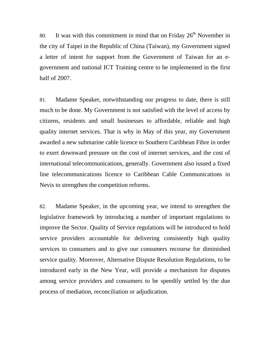80. It was with this commitment in mind that on Friday  $26<sup>th</sup>$  November in the city of Taipei in the Republic of China (Taiwan), my Government signed a letter of intent for support from the Government of Taiwan for an egovernment and national ICT Training centre to be implemented in the first half of 2007.

81. Madame Speaker, notwithstanding our progress to date, there is still much to be done. My Government is not satisfied with the level of access by citizens, residents and small businesses to affordable, reliable and high quality internet services. That is why in May of this year, my Government awarded a new submarine cable licence to Southern Caribbean Fibre in order to exert downward pressure on the cost of internet services, and the cost of international telecommunications, generally. Government also issued a fixed line telecommunications licence to Caribbean Cable Communications in Nevis to strengthen the competition reforms.

82. Madame Speaker, in the upcoming year, we intend to strengthen the legislative framework by introducing a number of important regulations to improve the Sector. Quality of Service regulations will be introduced to hold service providers accountable for delivering consistently high quality services to consumers and to give our consumers recourse for diminished service quality. Moreover, Alternative Dispute Resolution Regulations, to be introduced early in the New Year, will provide a mechanism for disputes among service providers and consumers to be speedily settled by the due process of mediation, reconciliation or adjudication.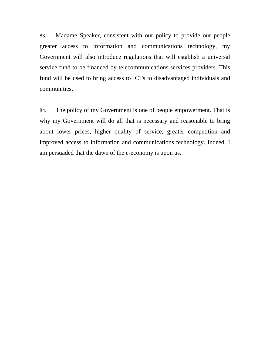83. Madame Speaker, consistent with our policy to provide our people greater access to information and communications technology, my Government will also introduce regulations that will establish a universal service fund to be financed by telecommunications services providers. This fund will be used to bring access to ICTs to disadvantaged individuals and communities.

84. The policy of my Government is one of people empowerment. That is why my Government will do all that is necessary and reasonable to bring about lower prices, higher quality of service, greater competition and improved access to information and communications technology. Indeed, I am persuaded that the dawn of the e-economy is upon us.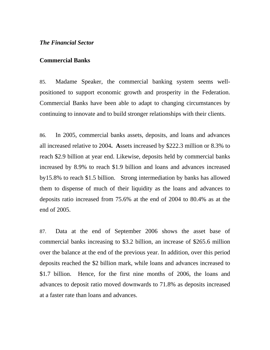### *The Financial Sector*

#### **Commercial Banks**

85. Madame Speaker, the commercial banking system seems wellpositioned to support economic growth and prosperity in the Federation. Commercial Banks have been able to adapt to changing circumstances by continuing to innovate and to build stronger relationships with their clients.

86. In 2005, commercial banks assets, deposits, and loans and advances all increased relative to 2004**. A**ssets increased by \$222.3 million or 8.3% to reach \$2.9 billion at year end. Likewise, deposits held by commercial banks increased by 8.9% to reach \$1.9 billion and loans and advances increased by15.8% to reach \$1.5 billion. Strong intermediation by banks has allowed them to dispense of much of their liquidity as the loans and advances to deposits ratio increased from 75.6% at the end of 2004 to 80.4% as at the end of 2005.

87. Data at the end of September 2006 shows the asset base of commercial banks increasing to \$3.2 billion, an increase of \$265.6 million over the balance at the end of the previous year. In addition, over this period deposits reached the \$2 billion mark, while loans and advances increased to \$1.7 billion. Hence, for the first nine months of 2006, the loans and advances to deposit ratio moved downwards to 71.8% as deposits increased at a faster rate than loans and advances.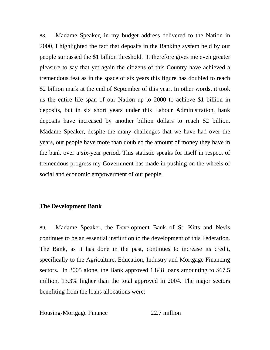88. Madame Speaker, in my budget address delivered to the Nation in 2000, I highlighted the fact that deposits in the Banking system held by our people surpassed the \$1 billion threshold. It therefore gives me even greater pleasure to say that yet again the citizens of this Country have achieved a tremendous feat as in the space of six years this figure has doubled to reach \$2 billion mark at the end of September of this year. In other words, it took us the entire life span of our Nation up to 2000 to achieve \$1 billion in deposits, but in six short years under this Labour Administration, bank deposits have increased by another billion dollars to reach \$2 billion. Madame Speaker, despite the many challenges that we have had over the years, our people have more than doubled the amount of money they have in the bank over a six-year period. This statistic speaks for itself in respect of tremendous progress my Government has made in pushing on the wheels of social and economic empowerment of our people.

### **The Development Bank**

89. Madame Speaker, the Development Bank of St. Kitts and Nevis continues to be an essential institution to the development of this Federation. The Bank, as it has done in the past, continues to increase its credit, specifically to the Agriculture, Education, Industry and Mortgage Financing sectors. In 2005 alone, the Bank approved 1,848 loans amounting to \$67.5 million, 13.3% higher than the total approved in 2004. The major sectors benefiting from the loans allocations were:

Housing-Mortgage Finance 22.7 million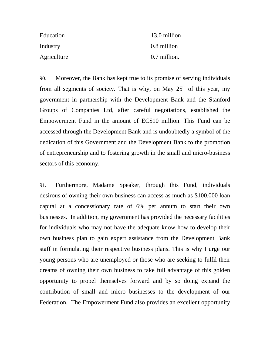| Education   | 13.0 million |
|-------------|--------------|
| Industry    | 0.8 million  |
| Agriculture | 0.7 million. |

90. Moreover, the Bank has kept true to its promise of serving individuals from all segments of society. That is why, on May  $25<sup>th</sup>$  of this year, my government in partnership with the Development Bank and the Stanford Groups of Companies Ltd, after careful negotiations, established the Empowerment Fund in the amount of EC\$10 million. This Fund can be accessed through the Development Bank and is undoubtedly a symbol of the dedication of this Government and the Development Bank to the promotion of entrepreneurship and to fostering growth in the small and micro-business sectors of this economy.

91. Furthermore, Madame Speaker, through this Fund, individuals desirous of owning their own business can access as much as \$100,000 loan capital at a concessionary rate of 6% per annum to start their own businesses. In addition, my government has provided the necessary facilities for individuals who may not have the adequate know how to develop their own business plan to gain expert assistance from the Development Bank staff in formulating their respective business plans. This is why I urge our young persons who are unemployed or those who are seeking to fulfil their dreams of owning their own business to take full advantage of this golden opportunity to propel themselves forward and by so doing expand the contribution of small and micro businesses to the development of our Federation. The Empowerment Fund also provides an excellent opportunity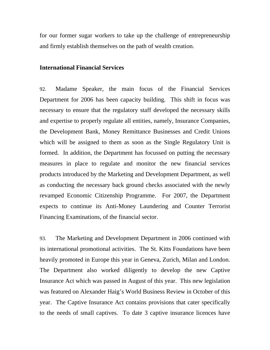for our former sugar workers to take up the challenge of entrepreneurship and firmly establish themselves on the path of wealth creation.

## **International Financial Services**

92. Madame Speaker, the main focus of the Financial Services Department for 2006 has been capacity building. This shift in focus was necessary to ensure that the regulatory staff developed the necessary skills and expertise to properly regulate all entities, namely, Insurance Companies, the Development Bank, Money Remittance Businesses and Credit Unions which will be assigned to them as soon as the Single Regulatory Unit is formed. In addition, the Department has focussed on putting the necessary measures in place to regulate and monitor the new financial services products introduced by the Marketing and Development Department, as well as conducting the necessary back ground checks associated with the newly revamped Economic Citizenship Programme. For 2007, the Department expects to continue its Anti-Money Laundering and Counter Terrorist Financing Examinations, of the financial sector.

93. The Marketing and Development Department in 2006 continued with its international promotional activities. The St. Kitts Foundations have been heavily promoted in Europe this year in Geneva, Zurich, Milan and London. The Department also worked diligently to develop the new Captive Insurance Act which was passed in August of this year. This new legislation was featured on Alexander Haig's World Business Review in October of this year. The Captive Insurance Act contains provisions that cater specifically to the needs of small captives. To date 3 captive insurance licences have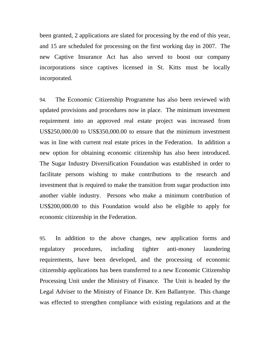been granted, 2 applications are slated for processing by the end of this year, and 15 are scheduled for processing on the first working day in 2007. The new Captive Insurance Act has also served to boost our company incorporations since captives licensed in St. Kitts must be locally incorporated.

94. The Economic Citizenship Programme has also been reviewed with updated provisions and procedures now in place. The minimum investment requirement into an approved real estate project was increased from US\$250,000.00 to US\$350,000.00 to ensure that the minimum investment was in line with current real estate prices in the Federation. In addition a new option for obtaining economic citizenship has also been introduced. The Sugar Industry Diversification Foundation was established in order to facilitate persons wishing to make contributions to the research and investment that is required to make the transition from sugar production into another viable industry. Persons who make a minimum contribution of US\$200,000.00 to this Foundation would also be eligible to apply for economic citizenship in the Federation.

95. In addition to the above changes, new application forms and regulatory procedures, including tighter anti-money laundering requirements, have been developed, and the processing of economic citizenship applications has been transferred to a new Economic Citizenship Processing Unit under the Ministry of Finance. The Unit is headed by the Legal Adviser to the Ministry of Finance Dr. Ken Ballantyne. This change was effected to strengthen compliance with existing regulations and at the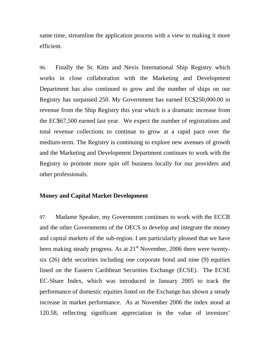same time, streamline the application process with a view to making it more efficient.

96. Finally the St. Kitts and Nevis International Ship Registry which works in close collaboration with the Marketing and Development Department has also continued to grow and the number of ships on our Registry has surpassed 250. My Government has earned EC\$250,000.00 in revenue from the Ship Registry this year which is a dramatic increase from the EC\$67,500 earned last year. We expect the number of registrations and total revenue collections to continue to grow at a rapid pace over the medium-term. The Registry is continuing to explore new avenues of growth and the Marketing and Development Department continues to work with the Registry to promote more spin off business locally for our providers and other professionals.

## **Money and Capital Market Development**

97. Madame Speaker, my Government continues to work with the ECCB and the other Governments of the OECS to develop and integrate the money and capital markets of the sub-region. I am particularly pleased that we have been making steady progress. As at  $21<sup>st</sup>$  November, 2006 there were twentysix (26) debt securities including one corporate bond and nine (9) equities listed on the Eastern Caribbean Securities Exchange (ECSE). The ECSE EC-Share Index, which was introduced in January 2005 to track the performance of domestic equities listed on the Exchange has shown a steady increase in market performance. As at November 2006 the index stood at 120.58, reflecting significant appreciation in the value of investors'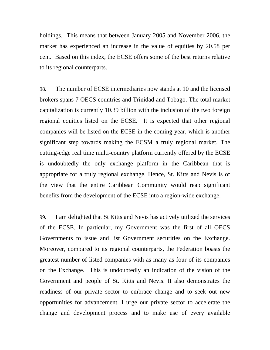holdings. This means that between January 2005 and November 2006, the market has experienced an increase in the value of equities by 20.58 per cent. Based on this index, the ECSE offers some of the best returns relative to its regional counterparts.

98. The number of ECSE intermediaries now stands at 10 and the licensed brokers spans 7 OECS countries and Trinidad and Tobago. The total market capitalization is currently 10.39 billion with the inclusion of the two foreign regional equities listed on the ECSE. It is expected that other regional companies will be listed on the ECSE in the coming year, which is another significant step towards making the ECSM a truly regional market. The cutting-edge real time multi-country platform currently offered by the ECSE is undoubtedly the only exchange platform in the Caribbean that is appropriate for a truly regional exchange. Hence, St. Kitts and Nevis is of the view that the entire Caribbean Community would reap significant benefits from the development of the ECSE into a region-wide exchange.

99. I am delighted that St Kitts and Nevis has actively utilized the services of the ECSE. In particular, my Government was the first of all OECS Governments to issue and list Government securities on the Exchange. Moreover, compared to its regional counterparts, the Federation boasts the greatest number of listed companies with as many as four of its companies on the Exchange. This is undoubtedly an indication of the vision of the Government and people of St. Kitts and Nevis. It also demonstrates the readiness of our private sector to embrace change and to seek out new opportunities for advancement. I urge our private sector to accelerate the change and development process and to make use of every available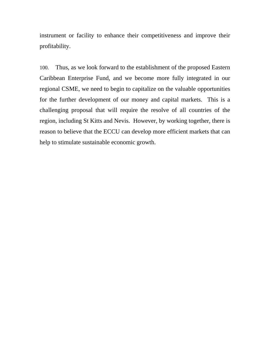instrument or facility to enhance their competitiveness and improve their profitability.

100. Thus, as we look forward to the establishment of the proposed Eastern Caribbean Enterprise Fund, and we become more fully integrated in our regional CSME, we need to begin to capitalize on the valuable opportunities for the further development of our money and capital markets. This is a challenging proposal that will require the resolve of all countries of the region, including St Kitts and Nevis. However, by working together, there is reason to believe that the ECCU can develop more efficient markets that can help to stimulate sustainable economic growth.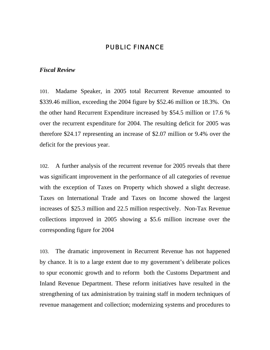# PUBLIC FINANCE

### *Fiscal Review*

101. Madame Speaker, in 2005 total Recurrent Revenue amounted to \$339.46 million, exceeding the 2004 figure by \$52.46 million or 18.3%. On the other hand Recurrent Expenditure increased by \$54.5 million or 17.6 % over the recurrent expenditure for 2004. The resulting deficit for 2005 was therefore \$24.17 representing an increase of \$2.07 million or 9.4% over the deficit for the previous year.

102. A further analysis of the recurrent revenue for 2005 reveals that there was significant improvement in the performance of all categories of revenue with the exception of Taxes on Property which showed a slight decrease. Taxes on International Trade and Taxes on Income showed the largest increases of \$25.3 million and 22.5 million respectively. Non-Tax Revenue collections improved in 2005 showing a \$5.6 million increase over the corresponding figure for 2004

103. The dramatic improvement in Recurrent Revenue has not happened by chance. It is to a large extent due to my government's deliberate polices to spur economic growth and to reform both the Customs Department and Inland Revenue Department. These reform initiatives have resulted in the strengthening of tax administration by training staff in modern techniques of revenue management and collection; modernizing systems and procedures to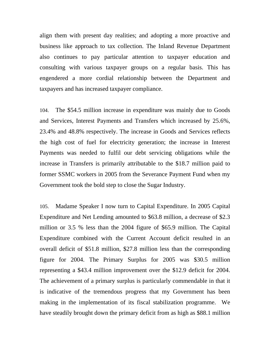align them with present day realities; and adopting a more proactive and business like approach to tax collection. The Inland Revenue Department also continues to pay particular attention to taxpayer education and consulting with various taxpayer groups on a regular basis. This has engendered a more cordial relationship between the Department and taxpayers and has increased taxpayer compliance.

104. The \$54.5 million increase in expenditure was mainly due to Goods and Services, Interest Payments and Transfers which increased by 25.6%, 23.4% and 48.8% respectively. The increase in Goods and Services reflects the high cost of fuel for electricity generation; the increase in Interest Payments was needed to fulfil our debt servicing obligations while the increase in Transfers is primarily attributable to the \$18.7 million paid to former SSMC workers in 2005 from the Severance Payment Fund when my Government took the bold step to close the Sugar Industry.

105. Madame Speaker I now turn to Capital Expenditure. In 2005 Capital Expenditure and Net Lending amounted to \$63.8 million, a decrease of \$2.3 million or 3.5 % less than the 2004 figure of \$65.9 million. The Capital Expenditure combined with the Current Account deficit resulted in an overall deficit of \$51.8 million, \$27.8 million less than the corresponding figure for 2004. The Primary Surplus for 2005 was \$30.5 million representing a \$43.4 million improvement over the \$12.9 deficit for 2004. The achievement of a primary surplus is particularly commendable in that it is indicative of the tremendous progress that my Government has been making in the implementation of its fiscal stabilization programme. We have steadily brought down the primary deficit from as high as \$88.1 million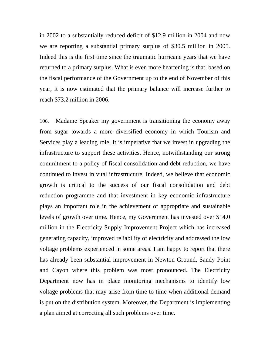in 2002 to a substantially reduced deficit of \$12.9 million in 2004 and now we are reporting a substantial primary surplus of \$30.5 million in 2005. Indeed this is the first time since the traumatic hurricane years that we have returned to a primary surplus. What is even more heartening is that, based on the fiscal performance of the Government up to the end of November of this year, it is now estimated that the primary balance will increase further to reach \$73.2 million in 2006.

106. Madame Speaker my government is transitioning the economy away from sugar towards a more diversified economy in which Tourism and Services play a leading role. It is imperative that we invest in upgrading the infrastructure to support these activities. Hence, notwithstanding our strong commitment to a policy of fiscal consolidation and debt reduction, we have continued to invest in vital infrastructure. Indeed, we believe that economic growth is critical to the success of our fiscal consolidation and debt reduction programme and that investment in key economic infrastructure plays an important role in the achievement of appropriate and sustainable levels of growth over time. Hence, my Government has invested over \$14.0 million in the Electricity Supply Improvement Project which has increased generating capacity, improved reliability of electricity and addressed the low voltage problems experienced in some areas. I am happy to report that there has already been substantial improvement in Newton Ground, Sandy Point and Cayon where this problem was most pronounced. The Electricity Department now has in place monitoring mechanisms to identify low voltage problems that may arise from time to time when additional demand is put on the distribution system. Moreover, the Department is implementing a plan aimed at correcting all such problems over time.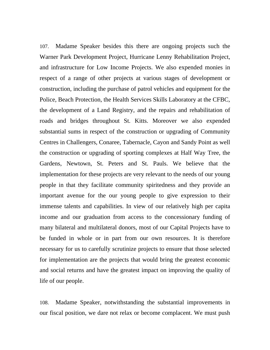107. Madame Speaker besides this there are ongoing projects such the Warner Park Development Project, Hurricane Lenny Rehabilitation Project, and infrastructure for Low Income Projects. We also expended monies in respect of a range of other projects at various stages of development or construction, including the purchase of patrol vehicles and equipment for the Police, Beach Protection, the Health Services Skills Laboratory at the CFBC, the development of a Land Registry, and the repairs and rehabilitation of roads and bridges throughout St. Kitts. Moreover we also expended substantial sums in respect of the construction or upgrading of Community Centres in Challengers, Conaree, Tabernacle, Cayon and Sandy Point as well the construction or upgrading of sporting complexes at Half Way Tree, the Gardens, Newtown, St. Peters and St. Pauls. We believe that the implementation for these projects are very relevant to the needs of our young people in that they facilitate community spiritedness and they provide an important avenue for the our young people to give expression to their immense talents and capabilities. In view of our relatively high per capita income and our graduation from access to the concessionary funding of many bilateral and multilateral donors, most of our Capital Projects have to be funded in whole or in part from our own resources. It is therefore necessary for us to carefully scrutinize projects to ensure that those selected for implementation are the projects that would bring the greatest economic and social returns and have the greatest impact on improving the quality of life of our people.

108. Madame Speaker, notwithstanding the substantial improvements in our fiscal position, we dare not relax or become complacent. We must push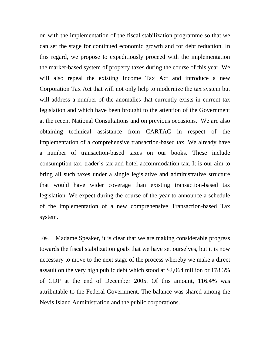on with the implementation of the fiscal stabilization programme so that we can set the stage for continued economic growth and for debt reduction. In this regard, we propose to expeditiously proceed with the implementation the market-based system of property taxes during the course of this year. We will also repeal the existing Income Tax Act and introduce a new Corporation Tax Act that will not only help to modernize the tax system but will address a number of the anomalies that currently exists in current tax legislation and which have been brought to the attention of the Government at the recent National Consultations and on previous occasions. We are also obtaining technical assistance from CARTAC in respect of the implementation of a comprehensive transaction-based tax. We already have a number of transaction-based taxes on our books. These include consumption tax, trader's tax and hotel accommodation tax. It is our aim to bring all such taxes under a single legislative and administrative structure that would have wider coverage than existing transaction-based tax legislation. We expect during the course of the year to announce a schedule of the implementation of a new comprehensive Transaction-based Tax system.

109. Madame Speaker, it is clear that we are making considerable progress towards the fiscal stabilization goals that we have set ourselves, but it is now necessary to move to the next stage of the process whereby we make a direct assault on the very high public debt which stood at \$2,064 million or 178.3% of GDP at the end of December 2005. Of this amount, 116.4% was attributable to the Federal Government. The balance was shared among the Nevis Island Administration and the public corporations.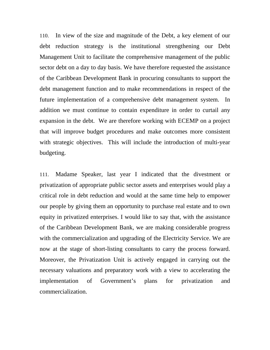110. In view of the size and magnitude of the Debt, a key element of our debt reduction strategy is the institutional strengthening our Debt Management Unit to facilitate the comprehensive management of the public sector debt on a day to day basis. We have therefore requested the assistance of the Caribbean Development Bank in procuring consultants to support the debt management function and to make recommendations in respect of the future implementation of a comprehensive debt management system. In addition we must continue to contain expenditure in order to curtail any expansion in the debt. We are therefore working with ECEMP on a project that will improve budget procedures and make outcomes more consistent with strategic objectives. This will include the introduction of multi-year budgeting.

111. Madame Speaker, last year I indicated that the divestment or privatization of appropriate public sector assets and enterprises would play a critical role in debt reduction and would at the same time help to empower our people by giving them an opportunity to purchase real estate and to own equity in privatized enterprises. I would like to say that, with the assistance of the Caribbean Development Bank, we are making considerable progress with the commercialization and upgrading of the Electricity Service. We are now at the stage of short-listing consultants to carry the process forward. Moreover, the Privatization Unit is actively engaged in carrying out the necessary valuations and preparatory work with a view to accelerating the implementation of Government's plans for privatization and commercialization.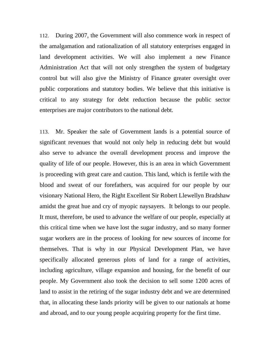112. During 2007, the Government will also commence work in respect of the amalgamation and rationalization of all statutory enterprises engaged in land development activities. We will also implement a new Finance Administration Act that will not only strengthen the system of budgetary control but will also give the Ministry of Finance greater oversight over public corporations and statutory bodies. We believe that this initiative is critical to any strategy for debt reduction because the public sector enterprises are major contributors to the national debt.

113. Mr. Speaker the sale of Government lands is a potential source of significant revenues that would not only help in reducing debt but would also serve to advance the overall development process and improve the quality of life of our people. However, this is an area in which Government is proceeding with great care and caution. This land, which is fertile with the blood and sweat of our forefathers, was acquired for our people by our visionary National Hero, the Right Excellent Sir Robert Llewellyn Bradshaw amidst the great hue and cry of myopic naysayers. It belongs to our people. It must, therefore, be used to advance the welfare of our people, especially at this critical time when we have lost the sugar industry, and so many former sugar workers are in the process of looking for new sources of income for themselves. That is why in our Physical Development Plan, we have specifically allocated generous plots of land for a range of activities, including agriculture, village expansion and housing, for the benefit of our people. My Government also took the decision to sell some 1200 acres of land to assist in the retiring of the sugar industry debt and we are determined that, in allocating these lands priority will be given to our nationals at home and abroad, and to our young people acquiring property for the first time.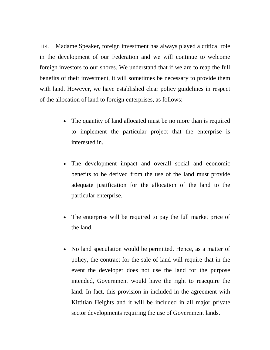114. Madame Speaker, foreign investment has always played a critical role in the development of our Federation and we will continue to welcome foreign investors to our shores. We understand that if we are to reap the full benefits of their investment, it will sometimes be necessary to provide them with land. However, we have established clear policy guidelines in respect of the allocation of land to foreign enterprises, as follows:-

- The quantity of land allocated must be no more than is required to implement the particular project that the enterprise is interested in.
- The development impact and overall social and economic benefits to be derived from the use of the land must provide adequate justification for the allocation of the land to the particular enterprise.
- The enterprise will be required to pay the full market price of the land.
- No land speculation would be permitted. Hence, as a matter of policy, the contract for the sale of land will require that in the event the developer does not use the land for the purpose intended, Government would have the right to reacquire the land. In fact, this provision in included in the agreement with Kittitian Heights and it will be included in all major private sector developments requiring the use of Government lands.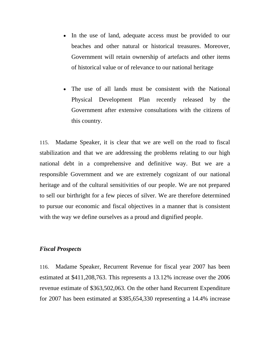- In the use of land, adequate access must be provided to our beaches and other natural or historical treasures. Moreover, Government will retain ownership of artefacts and other items of historical value or of relevance to our national heritage
- The use of all lands must be consistent with the National Physical Development Plan recently released by the Government after extensive consultations with the citizens of this country.

115. Madame Speaker, it is clear that we are well on the road to fiscal stabilization and that we are addressing the problems relating to our high national debt in a comprehensive and definitive way. But we are a responsible Government and we are extremely cognizant of our national heritage and of the cultural sensitivities of our people. We are not prepared to sell our birthright for a few pieces of silver. We are therefore determined to pursue our economic and fiscal objectives in a manner that is consistent with the way we define ourselves as a proud and dignified people.

# *Fiscal Prospects*

116. Madame Speaker, Recurrent Revenue for fiscal year 2007 has been estimated at \$411,208,763. This represents a 13.12% increase over the 2006 revenue estimate of \$363,502,063. On the other hand Recurrent Expenditure for 2007 has been estimated at \$385,654,330 representing a 14.4% increase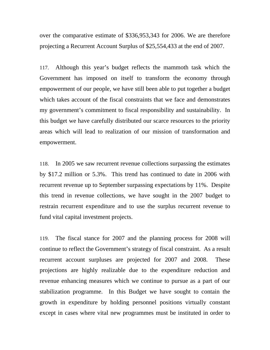over the comparative estimate of \$336,953,343 for 2006. We are therefore projecting a Recurrent Account Surplus of \$25,554,433 at the end of 2007.

117. Although this year's budget reflects the mammoth task which the Government has imposed on itself to transform the economy through empowerment of our people, we have still been able to put together a budget which takes account of the fiscal constraints that we face and demonstrates my government's commitment to fiscal responsibility and sustainability. In this budget we have carefully distributed our scarce resources to the priority areas which will lead to realization of our mission of transformation and empowerment.

118. In 2005 we saw recurrent revenue collections surpassing the estimates by \$17.2 million or 5.3%. This trend has continued to date in 2006 with recurrent revenue up to September surpassing expectations by 11%. Despite this trend in revenue collections, we have sought in the 2007 budget to restrain recurrent expenditure and to use the surplus recurrent revenue to fund vital capital investment projects.

119. The fiscal stance for 2007 and the planning process for 2008 will continue to reflect the Government's strategy of fiscal constraint. As a result recurrent account surpluses are projected for 2007 and 2008. These projections are highly realizable due to the expenditure reduction and revenue enhancing measures which we continue to pursue as a part of our stabilization programme. In this Budget we have sought to contain the growth in expenditure by holding personnel positions virtually constant except in cases where vital new programmes must be instituted in order to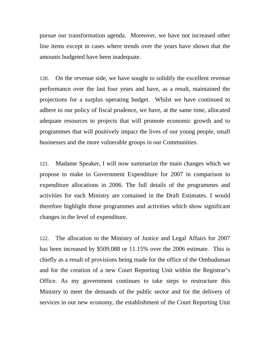pursue our transformation agenda. Moreover, we have not increased other line items except in cases where trends over the years have shown that the amounts budgeted have been inadequate.

120. On the revenue side, we have sought to solidify the excellent revenue performance over the last four years and have, as a result, maintained the projections for a surplus operating budget. Whilst we have continued to adhere to our policy of fiscal prudence, we have, at the same time, allocated adequate resources to projects that will promote economic growth and to programmes that will positively impact the lives of our young people, small businesses and the more vulnerable groups in our Communities.

121. Madame Speaker, I will now summarize the main changes which we propose to make to Government Expenditure for 2007 in comparison to expenditure allocations in 2006. The full details of the programmes and activities for each Ministry are contained in the Draft Estimates. I would therefore highlight those programmes and activities which show significant changes in the level of expenditure.

122. The allocation to the Ministry of Justice and Legal Affairs for 2007 has been increased by \$509,088 or 11.15% over the 2006 estimate. This is chiefly as a result of provisions being made for the office of the Ombudsman and for the creation of a new Court Reporting Unit within the Registrar's Office. As my government continues to take steps to restructure this Ministry to meet the demands of the public sector and for the delivery of services in our new economy, the establishment of the Court Reporting Unit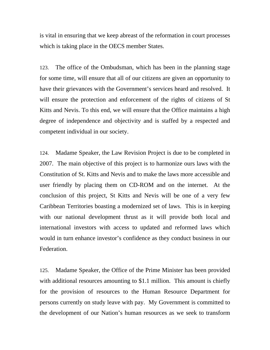is vital in ensuring that we keep abreast of the reformation in court processes which is taking place in the OECS member States.

123. The office of the Ombudsman, which has been in the planning stage for some time, will ensure that all of our citizens are given an opportunity to have their grievances with the Government's services heard and resolved. It will ensure the protection and enforcement of the rights of citizens of St Kitts and Nevis. To this end, we will ensure that the Office maintains a high degree of independence and objectivity and is staffed by a respected and competent individual in our society.

124. Madame Speaker, the Law Revision Project is due to be completed in 2007. The main objective of this project is to harmonize ours laws with the Constitution of St. Kitts and Nevis and to make the laws more accessible and user friendly by placing them on CD-ROM and on the internet. At the conclusion of this project, St Kitts and Nevis will be one of a very few Caribbean Territories boasting a modernized set of laws. This is in keeping with our national development thrust as it will provide both local and international investors with access to updated and reformed laws which would in turn enhance investor's confidence as they conduct business in our Federation.

125. Madame Speaker, the Office of the Prime Minister has been provided with additional resources amounting to \$1.1 million. This amount is chiefly for the provision of resources to the Human Resource Department for persons currently on study leave with pay. My Government is committed to the development of our Nation's human resources as we seek to transform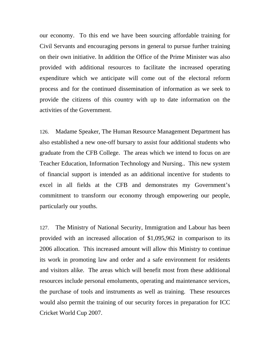our economy. To this end we have been sourcing affordable training for Civil Servants and encouraging persons in general to pursue further training on their own initiative. In addition the Office of the Prime Minister was also provided with additional resources to facilitate the increased operating expenditure which we anticipate will come out of the electoral reform process and for the continued dissemination of information as we seek to provide the citizens of this country with up to date information on the activities of the Government.

126. Madame Speaker, The Human Resource Management Department has also established a new one-off bursary to assist four additional students who graduate from the CFB College. The areas which we intend to focus on are Teacher Education, Information Technology and Nursing.. This new system of financial support is intended as an additional incentive for students to excel in all fields at the CFB and demonstrates my Government's commitment to transform our economy through empowering our people, particularly our youths.

127. The Ministry of National Security, Immigration and Labour has been provided with an increased allocation of \$1,095,962 in comparison to its 2006 allocation. This increased amount will allow this Ministry to continue its work in promoting law and order and a safe environment for residents and visitors alike. The areas which will benefit most from these additional resources include personal emoluments, operating and maintenance services, the purchase of tools and instruments as well as training. These resources would also permit the training of our security forces in preparation for ICC Cricket World Cup 2007.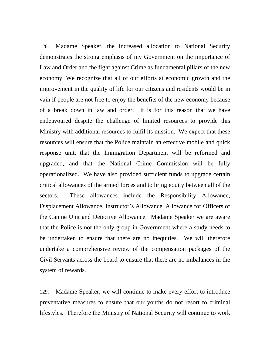128. Madame Speaker, the increased allocation to National Security demonstrates the strong emphasis of my Government on the importance of Law and Order and the fight against Crime as fundamental pillars of the new economy. We recognize that all of our efforts at economic growth and the improvement in the quality of life for our citizens and residents would be in vain if people are not free to enjoy the benefits of the new economy because of a break down in law and order. It is for this reason that we have endeavoured despite the challenge of limited resources to provide this Ministry with additional resources to fulfil its mission. We expect that these resources will ensure that the Police maintain an effective mobile and quick response unit, that the Immigration Department will be reformed and upgraded, and that the National Crime Commission will be fully operationalized. We have also provided sufficient funds to upgrade certain critical allowances of the armed forces and to bring equity between all of the sectors. These allowances include the Responsibility Allowance, Displacement Allowance, Instructor's Allowance, Allowance for Officers of the Canine Unit and Detective Allowance. Madame Speaker we are aware that the Police is not the only group in Government where a study needs to be undertaken to ensure that there are no inequities. We will therefore undertake a comprehensive review of the compensation packages of the Civil Servants across the board to ensure that there are no imbalances in the system of rewards.

129. Madame Speaker, we will continue to make every effort to introduce preventative measures to ensure that our youths do not resort to criminal lifestyles. Therefore the Ministry of National Security will continue to work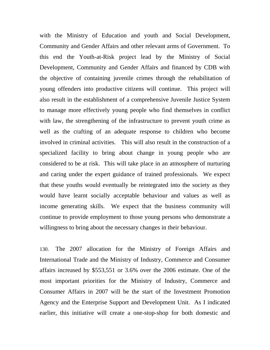with the Ministry of Education and youth and Social Development, Community and Gender Affairs and other relevant arms of Government. To this end the Youth-at-Risk project lead by the Ministry of Social Development, Community and Gender Affairs and financed by CDB with the objective of containing juvenile crimes through the rehabilitation of young offenders into productive citizens will continue. This project will also result in the establishment of a comprehensive Juvenile Justice System to manage more effectively young people who find themselves in conflict with law, the strengthening of the infrastructure to prevent youth crime as well as the crafting of an adequate response to children who become involved in criminal activities. This will also result in the construction of a specialized facility to bring about change in young people who are considered to be at risk. This will take place in an atmosphere of nurturing and caring under the expert guidance of trained professionals. We expect that these youths would eventually be reintegrated into the society as they would have learnt socially acceptable behaviour and values as well as income generating skills. We expect that the business community will continue to provide employment to those young persons who demonstrate a willingness to bring about the necessary changes in their behaviour.

130. The 2007 allocation for the Ministry of Foreign Affairs and International Trade and the Ministry of Industry, Commerce and Consumer affairs increased by \$553,551 or 3.6% over the 2006 estimate. One of the most important priorities for the Ministry of Industry, Commerce and Consumer Affairs in 2007 will be the start of the Investment Promotion Agency and the Enterprise Support and Development Unit. As I indicated earlier, this initiative will create a one-stop-shop for both domestic and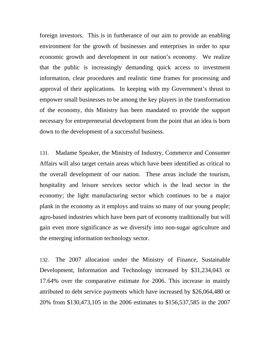foreign investors. This is in furtherance of our aim to provide an enabling environment for the growth of businesses and enterprises in order to spur economic growth and development in our nation's economy. We realize that the public is increasingly demanding quick access to investment information, clear procedures and realistic time frames for processing and approval of their applications. In keeping with my Government's thrust to empower small businesses to be among the key players in the transformation of the economy, this Ministry has been mandated to provide the support necessary for entrepreneurial development from the point that an idea is born down to the development of a successful business.

131. Madame Speaker, the Ministry of Industry, Commerce and Consumer Affairs will also target certain areas which have been identified as critical to the overall development of our nation. These areas include the tourism, hospitality and leisure services sector which is the lead sector in the economy; the light manufacturing sector which continues to be a major plank in the economy as it employs and trains so many of our young people; agro-based industries which have been part of economy traditionally but will gain even more significance as we diversify into non-sugar agriculture and the emerging information technology sector.

132. The 2007 allocation under the Ministry of Finance, Sustainable Development, Information and Technology increased by \$31,234,043 or 17.64% over the comparative estimate for 2006. This increase in mainly attributed to debt service payments which have increased by \$26,064,480 or 20% from \$130,473,105 in the 2006 estimates to \$156,537,585 in the 2007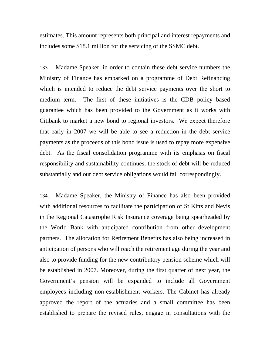estimates. This amount represents both principal and interest repayments and includes some \$18.1 million for the servicing of the SSMC debt.

133. Madame Speaker, in order to contain these debt service numbers the Ministry of Finance has embarked on a programme of Debt Refinancing which is intended to reduce the debt service payments over the short to medium term. The first of these initiatives is the CDB policy based guarantee which has been provided to the Government as it works with Citibank to market a new bond to regional investors. We expect therefore that early in 2007 we will be able to see a reduction in the debt service payments as the proceeds of this bond issue is used to repay more expensive debt. As the fiscal consolidation programme with its emphasis on fiscal responsibility and sustainability continues, the stock of debt will be reduced substantially and our debt service obligations would fall correspondingly.

134. Madame Speaker, the Ministry of Finance has also been provided with additional resources to facilitate the participation of St Kitts and Nevis in the Regional Catastrophe Risk Insurance coverage being spearheaded by the World Bank with anticipated contribution from other development partners. The allocation for Retirement Benefits has also being increased in anticipation of persons who will reach the retirement age during the year and also to provide funding for the new contributory pension scheme which will be established in 2007. Moreover, during the first quarter of next year, the Government's pension will be expanded to include all Government employees including non-establishment workers. The Cabinet has already approved the report of the actuaries and a small committee has been established to prepare the revised rules, engage in consultations with the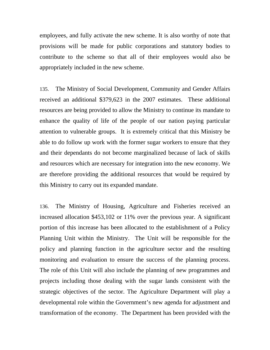employees, and fully activate the new scheme. It is also worthy of note that provisions will be made for public corporations and statutory bodies to contribute to the scheme so that all of their employees would also be appropriately included in the new scheme.

135. The Ministry of Social Development, Community and Gender Affairs received an additional \$379,623 in the 2007 estimates. These additional resources are being provided to allow the Ministry to continue its mandate to enhance the quality of life of the people of our nation paying particular attention to vulnerable groups. It is extremely critical that this Ministry be able to do follow up work with the former sugar workers to ensure that they and their dependants do not become marginalized because of lack of skills and resources which are necessary for integration into the new economy. We are therefore providing the additional resources that would be required by this Ministry to carry out its expanded mandate.

136. The Ministry of Housing, Agriculture and Fisheries received an increased allocation \$453,102 or 11% over the previous year. A significant portion of this increase has been allocated to the establishment of a Policy Planning Unit within the Ministry. The Unit will be responsible for the policy and planning function in the agriculture sector and the resulting monitoring and evaluation to ensure the success of the planning process. The role of this Unit will also include the planning of new programmes and projects including those dealing with the sugar lands consistent with the strategic objectives of the sector. The Agriculture Department will play a developmental role within the Government's new agenda for adjustment and transformation of the economy. The Department has been provided with the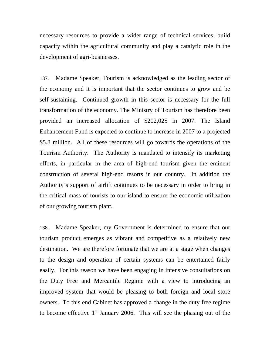necessary resources to provide a wider range of technical services, build capacity within the agricultural community and play a catalytic role in the development of agri-businesses.

137. Madame Speaker, Tourism is acknowledged as the leading sector of the economy and it is important that the sector continues to grow and be self-sustaining. Continued growth in this sector is necessary for the full transformation of the economy. The Ministry of Tourism has therefore been provided an increased allocation of \$202,025 in 2007. The Island Enhancement Fund is expected to continue to increase in 2007 to a projected \$5.8 million. All of these resources will go towards the operations of the Tourism Authority. The Authority is mandated to intensify its marketing efforts, in particular in the area of high-end tourism given the eminent construction of several high-end resorts in our country. In addition the Authority's support of airlift continues to be necessary in order to bring in the critical mass of tourists to our island to ensure the economic utilization of our growing tourism plant.

138. Madame Speaker, my Government is determined to ensure that our tourism product emerges as vibrant and competitive as a relatively new destination. We are therefore fortunate that we are at a stage when changes to the design and operation of certain systems can be entertained fairly easily. For this reason we have been engaging in intensive consultations on the Duty Free and Mercantile Regime with a view to introducing an improved system that would be pleasing to both foreign and local store owners. To this end Cabinet has approved a change in the duty free regime to become effective  $1<sup>st</sup>$  January 2006. This will see the phasing out of the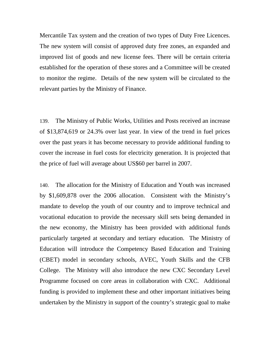Mercantile Tax system and the creation of two types of Duty Free Licences. The new system will consist of approved duty free zones, an expanded and improved list of goods and new license fees. There will be certain criteria established for the operation of these stores and a Committee will be created to monitor the regime. Details of the new system will be circulated to the relevant parties by the Ministry of Finance.

139. The Ministry of Public Works, Utilities and Posts received an increase of \$13,874,619 or 24.3% over last year. In view of the trend in fuel prices over the past years it has become necessary to provide additional funding to cover the increase in fuel costs for electricity generation. It is projected that the price of fuel will average about US\$60 per barrel in 2007.

140. The allocation for the Ministry of Education and Youth was increased by \$1,609,878 over the 2006 allocation. Consistent with the Ministry's mandate to develop the youth of our country and to improve technical and vocational education to provide the necessary skill sets being demanded in the new economy, the Ministry has been provided with additional funds particularly targeted at secondary and tertiary education. The Ministry of Education will introduce the Competency Based Education and Training (CBET) model in secondary schools, AVEC, Youth Skills and the CFB College. The Ministry will also introduce the new CXC Secondary Level Programme focused on core areas in collaboration with CXC. Additional funding is provided to implement these and other important initiatives being undertaken by the Ministry in support of the country's strategic goal to make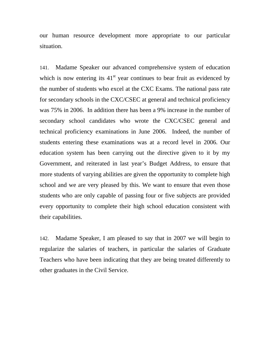our human resource development more appropriate to our particular situation.

141. Madame Speaker our advanced comprehensive system of education which is now entering its  $41<sup>st</sup>$  year continues to bear fruit as evidenced by the number of students who excel at the CXC Exams. The national pass rate for secondary schools in the CXC/CSEC at general and technical proficiency was 75% in 2006. In addition there has been a 9% increase in the number of secondary school candidates who wrote the CXC/CSEC general and technical proficiency examinations in June 2006. Indeed, the number of students entering these examinations was at a record level in 2006. Our education system has been carrying out the directive given to it by my Government, and reiterated in last year's Budget Address, to ensure that more students of varying abilities are given the opportunity to complete high school and we are very pleased by this. We want to ensure that even those students who are only capable of passing four or five subjects are provided every opportunity to complete their high school education consistent with their capabilities.

142. Madame Speaker, I am pleased to say that in 2007 we will begin to regularize the salaries of teachers, in particular the salaries of Graduate Teachers who have been indicating that they are being treated differently to other graduates in the Civil Service.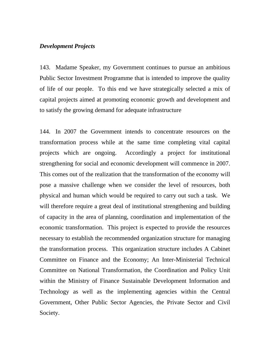### *Development Projects*

143. Madame Speaker, my Government continues to pursue an ambitious Public Sector Investment Programme that is intended to improve the quality of life of our people. To this end we have strategically selected a mix of capital projects aimed at promoting economic growth and development and to satisfy the growing demand for adequate infrastructure

144. In 2007 the Government intends to concentrate resources on the transformation process while at the same time completing vital capital projects which are ongoing. Accordingly a project for institutional strengthening for social and economic development will commence in 2007. This comes out of the realization that the transformation of the economy will pose a massive challenge when we consider the level of resources, both physical and human which would be required to carry out such a task. We will therefore require a great deal of institutional strengthening and building of capacity in the area of planning, coordination and implementation of the economic transformation. This project is expected to provide the resources necessary to establish the recommended organization structure for managing the transformation process. This organization structure includes A Cabinet Committee on Finance and the Economy; An Inter-Ministerial Technical Committee on National Transformation, the Coordination and Policy Unit within the Ministry of Finance Sustainable Development Information and Technology as well as the implementing agencies within the Central Government, Other Public Sector Agencies, the Private Sector and Civil Society.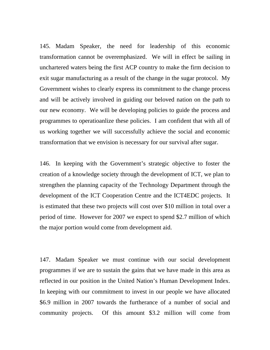145. Madam Speaker, the need for leadership of this economic transformation cannot be overemphasized. We will in effect be sailing in unchartered waters being the first ACP country to make the firm decision to exit sugar manufacturing as a result of the change in the sugar protocol. My Government wishes to clearly express its commitment to the change process and will be actively involved in guiding our beloved nation on the path to our new economy. We will be developing policies to guide the process and programmes to operatioanlize these policies. I am confident that with all of us working together we will successfully achieve the social and economic transformation that we envision is necessary for our survival after sugar.

146. In keeping with the Government's strategic objective to foster the creation of a knowledge society through the development of ICT, we plan to strengthen the planning capacity of the Technology Department through the development of the ICT Cooperation Centre and the ICT4EDC projects. It is estimated that these two projects will cost over \$10 million in total over a period of time. However for 2007 we expect to spend \$2.7 million of which the major portion would come from development aid.

147. Madam Speaker we must continue with our social development programmes if we are to sustain the gains that we have made in this area as reflected in our position in the United Nation's Human Development Index. In keeping with our commitment to invest in our people we have allocated \$6.9 million in 2007 towards the furtherance of a number of social and community projects. Of this amount \$3.2 million will come from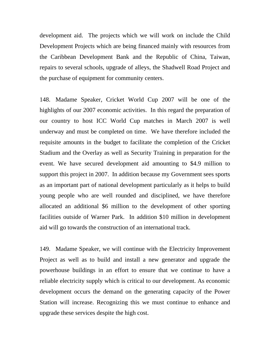development aid. The projects which we will work on include the Child Development Projects which are being financed mainly with resources from the Caribbean Development Bank and the Republic of China, Taiwan, repairs to several schools, upgrade of alleys, the Shadwell Road Project and the purchase of equipment for community centers.

148. Madame Speaker, Cricket World Cup 2007 will be one of the highlights of our 2007 economic activities. In this regard the preparation of our country to host ICC World Cup matches in March 2007 is well underway and must be completed on time. We have therefore included the requisite amounts in the budget to facilitate the completion of the Cricket Stadium and the Overlay as well as Security Training in preparation for the event. We have secured development aid amounting to \$4.9 million to support this project in 2007. In addition because my Government sees sports as an important part of national development particularly as it helps to build young people who are well rounded and disciplined, we have therefore allocated an additional \$6 million to the development of other sporting facilities outside of Warner Park. In addition \$10 million in development aid will go towards the construction of an international track.

149. Madame Speaker, we will continue with the Electricity Improvement Project as well as to build and install a new generator and upgrade the powerhouse buildings in an effort to ensure that we continue to have a reliable electricity supply which is critical to our development. As economic development occurs the demand on the generating capacity of the Power Station will increase. Recognizing this we must continue to enhance and upgrade these services despite the high cost.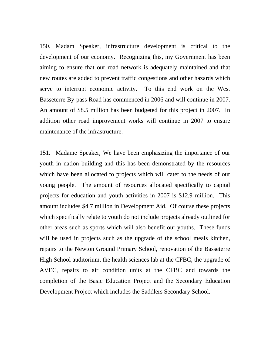150. Madam Speaker, infrastructure development is critical to the development of our economy. Recognizing this, my Government has been aiming to ensure that our road network is adequately maintained and that new routes are added to prevent traffic congestions and other hazards which serve to interrupt economic activity. To this end work on the West Basseterre By-pass Road has commenced in 2006 and will continue in 2007. An amount of \$8.5 million has been budgeted for this project in 2007. In addition other road improvement works will continue in 2007 to ensure maintenance of the infrastructure.

151. Madame Speaker, We have been emphasizing the importance of our youth in nation building and this has been demonstrated by the resources which have been allocated to projects which will cater to the needs of our young people. The amount of resources allocated specifically to capital projects for education and youth activities in 2007 is \$12.9 million. This amount includes \$4.7 million in Development Aid. Of course these projects which specifically relate to youth do not include projects already outlined for other areas such as sports which will also benefit our youths. These funds will be used in projects such as the upgrade of the school meals kitchen, repairs to the Newton Ground Primary School, renovation of the Basseterre High School auditorium, the health sciences lab at the CFBC, the upgrade of AVEC, repairs to air condition units at the CFBC and towards the completion of the Basic Education Project and the Secondary Education Development Project which includes the Saddlers Secondary School.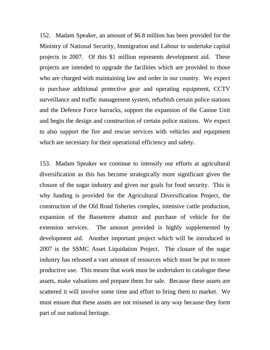152. Madam Speaker, an amount of \$6.8 million has been provided for the Ministry of National Security, Immigration and Labour to undertake capital projects in 2007. Of this \$1 million represents development aid. These projects are intended to upgrade the facilities which are provided to those who are charged with maintaining law and order in our country. We expect to purchase additional protective gear and operating equipment, CCTV surveillance and traffic management system, refurbish certain police stations and the Defence Force barracks, support the expansion of the Canine Unit and begin the design and construction of certain police stations. We expect to also support the fire and rescue services with vehicles and equipment which are necessary for their operational efficiency and safety.

153. Madam Speaker we continue to intensify our efforts at agricultural diversification as this has become strategically more significant given the closure of the sugar industry and given our goals for food security. This is why funding is provided for the Agricultural Diversification Project, the construction of the Old Road fisheries complex, intensive cattle production, expansion of the Basseterre abattoir and purchase of vehicle for the extension services. The amount provided is highly supplemented by development aid. Another important project which will be introduced in 2007 is the SSMC Asset Liquidation Project. The closure of the sugar industry has released a vast amount of resources which must be put to more productive use. This means that work must be undertaken to catalogue these assets, make valuations and prepare them for sale. Because these assets are scattered it will involve some time and effort to bring them to market. We must ensure that these assets are not misused in any way because they form part of our national heritage.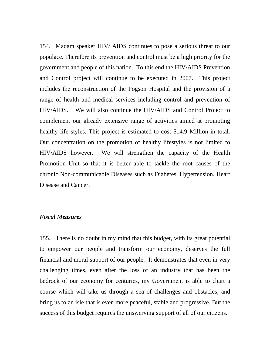154. Madam speaker HIV/ AIDS continues to pose a serious threat to our populace. Therefore its prevention and control must be a high priority for the government and people of this nation. To this end the HIV/AIDS Prevention and Control project will continue to be executed in 2007. This project includes the reconstruction of the Pogson Hospital and the provision of a range of health and medical services including control and prevention of HIV/AIDS. We will also continue the HIV/AIDS and Control Project to complement our already extensive range of activities aimed at promoting healthy life styles. This project is estimated to cost \$14.9 Million in total. Our concentration on the promotion of healthy lifestyles is not limited to HIV/AIDS however. We will strengthen the capacity of the Health Promotion Unit so that it is better able to tackle the root causes of the chronic Non-communicable Diseases such as Diabetes, Hypertension, Heart Disease and Cancer.

## *Fiscal Measures*

155. There is no doubt in my mind that this budget, with its great potential to empower our people and transform our economy, deserves the full financial and moral support of our people. It demonstrates that even in very challenging times, even after the loss of an industry that has been the bedrock of our economy for centuries, my Government is able to chart a course which will take us through a sea of challenges and obstacles, and bring us to an isle that is even more peaceful, stable and progressive. But the success of this budget requires the unswerving support of all of our citizens.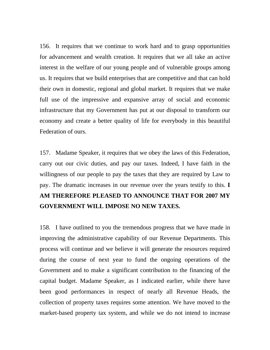156. It requires that we continue to work hard and to grasp opportunities for advancement and wealth creation. It requires that we all take an active interest in the welfare of our young people and of vulnerable groups among us. It requires that we build enterprises that are competitive and that can hold their own in domestic, regional and global market. It requires that we make full use of the impressive and expansive array of social and economic infrastructure that my Government has put at our disposal to transform our economy and create a better quality of life for everybody in this beautiful Federation of ours.

157. Madame Speaker, it requires that we obey the laws of this Federation, carry out our civic duties, and pay our taxes. Indeed, I have faith in the willingness of our people to pay the taxes that they are required by Law to pay. The dramatic increases in our revenue over the years testify to this. **I AM THEREFORE PLEASED TO ANNOUNCE THAT FOR 2007 MY GOVERNMENT WILL IMPOSE NO NEW TAXES.**

158. I have outlined to you the tremendous progress that we have made in improving the administrative capability of our Revenue Departments. This process will continue and we believe it will generate the resources required during the course of next year to fund the ongoing operations of the Government and to make a significant contribution to the financing of the capital budget. Madame Speaker, as I indicated earlier, while there have been good performances in respect of nearly all Revenue Heads, the collection of property taxes requires some attention. We have moved to the market-based property tax system, and while we do not intend to increase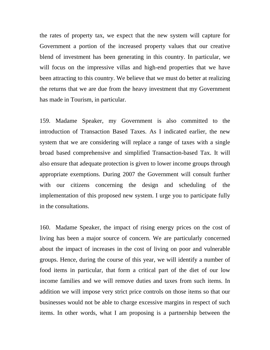the rates of property tax, we expect that the new system will capture for Government a portion of the increased property values that our creative blend of investment has been generating in this country. In particular, we will focus on the impressive villas and high-end properties that we have been attracting to this country. We believe that we must do better at realizing the returns that we are due from the heavy investment that my Government has made in Tourism, in particular.

159. Madame Speaker, my Government is also committed to the introduction of Transaction Based Taxes. As I indicated earlier, the new system that we are considering will replace a range of taxes with a single broad based comprehensive and simplified Transaction-based Tax. It will also ensure that adequate protection is given to lower income groups through appropriate exemptions. During 2007 the Government will consult further with our citizens concerning the design and scheduling of the implementation of this proposed new system. I urge you to participate fully in the consultations.

160. Madame Speaker, the impact of rising energy prices on the cost of living has been a major source of concern. We are particularly concerned about the impact of increases in the cost of living on poor and vulnerable groups. Hence, during the course of this year, we will identify a number of food items in particular, that form a critical part of the diet of our low income families and we will remove duties and taxes from such items. In addition we will impose very strict price controls on those items so that our businesses would not be able to charge excessive margins in respect of such items. In other words, what I am proposing is a partnership between the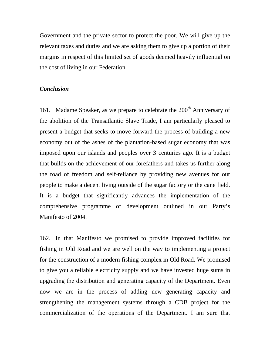Government and the private sector to protect the poor. We will give up the relevant taxes and duties and we are asking them to give up a portion of their margins in respect of this limited set of goods deemed heavily influential on the cost of living in our Federation.

## *Conclusion*

161. Madame Speaker, as we prepare to celebrate the  $200<sup>th</sup>$  Anniversary of the abolition of the Transatlantic Slave Trade, I am particularly pleased to present a budget that seeks to move forward the process of building a new economy out of the ashes of the plantation-based sugar economy that was imposed upon our islands and peoples over 3 centuries ago. It is a budget that builds on the achievement of our forefathers and takes us further along the road of freedom and self-reliance by providing new avenues for our people to make a decent living outside of the sugar factory or the cane field. It is a budget that significantly advances the implementation of the comprehensive programme of development outlined in our Party's Manifesto of 2004.

162. In that Manifesto we promised to provide improved facilities for fishing in Old Road and we are well on the way to implementing a project for the construction of a modern fishing complex in Old Road. We promised to give you a reliable electricity supply and we have invested huge sums in upgrading the distribution and generating capacity of the Department. Even now we are in the process of adding new generating capacity and strengthening the management systems through a CDB project for the commercialization of the operations of the Department. I am sure that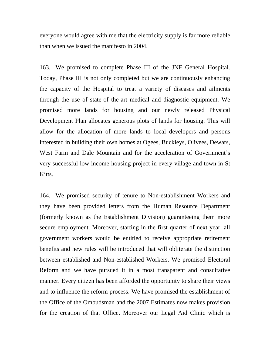everyone would agree with me that the electricity supply is far more reliable than when we issued the manifesto in 2004.

163. We promised to complete Phase III of the JNF General Hospital. Today, Phase III is not only completed but we are continuously enhancing the capacity of the Hospital to treat a variety of diseases and ailments through the use of state-of the-art medical and diagnostic equipment. We promised more lands for housing and our newly released Physical Development Plan allocates generous plots of lands for housing. This will allow for the allocation of more lands to local developers and persons interested in building their own homes at Ogees, Buckleys, Olivees, Dewars, West Farm and Dale Mountain and for the acceleration of Government's very successful low income housing project in every village and town in St Kitts.

164. We promised security of tenure to Non-establishment Workers and they have been provided letters from the Human Resource Department (formerly known as the Establishment Division) guaranteeing them more secure employment. Moreover, starting in the first quarter of next year, all government workers would be entitled to receive appropriate retirement benefits and new rules will be introduced that will obliterate the distinction between established and Non-established Workers. We promised Electoral Reform and we have pursued it in a most transparent and consultative manner. Every citizen has been afforded the opportunity to share their views and to influence the reform process. We have promised the establishment of the Office of the Ombudsman and the 2007 Estimates now makes provision for the creation of that Office. Moreover our Legal Aid Clinic which is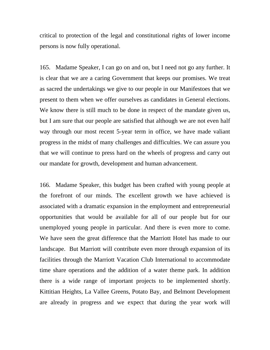critical to protection of the legal and constitutional rights of lower income persons is now fully operational.

165. Madame Speaker, I can go on and on, but I need not go any further. It is clear that we are a caring Government that keeps our promises. We treat as sacred the undertakings we give to our people in our Manifestoes that we present to them when we offer ourselves as candidates in General elections. We know there is still much to be done in respect of the mandate given us, but I am sure that our people are satisfied that although we are not even half way through our most recent 5-year term in office, we have made valiant progress in the midst of many challenges and difficulties. We can assure you that we will continue to press hard on the wheels of progress and carry out our mandate for growth, development and human advancement.

166. Madame Speaker, this budget has been crafted with young people at the forefront of our minds. The excellent growth we have achieved is associated with a dramatic expansion in the employment and entrepreneurial opportunities that would be available for all of our people but for our unemployed young people in particular. And there is even more to come. We have seen the great difference that the Marriott Hotel has made to our landscape. But Marriott will contribute even more through expansion of its facilities through the Marriott Vacation Club International to accommodate time share operations and the addition of a water theme park. In addition there is a wide range of important projects to be implemented shortly. Kittitian Heights, La Vallee Greens, Potato Bay, and Belmont Development are already in progress and we expect that during the year work will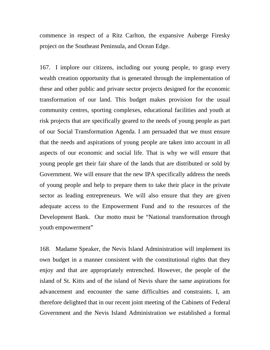commence in respect of a Ritz Carlton, the expansive Auberge Firesky project on the Southeast Peninsula, and Ocean Edge.

167. I implore our citizens, including our young people, to grasp every wealth creation opportunity that is generated through the implementation of these and other public and private sector projects designed for the economic transformation of our land. This budget makes provision for the usual community centres, sporting complexes, educational facilities and youth at risk projects that are specifically geared to the needs of young people as part of our Social Transformation Agenda. I am persuaded that we must ensure that the needs and aspirations of young people are taken into account in all aspects of our economic and social life. That is why we will ensure that young people get their fair share of the lands that are distributed or sold by Government. We will ensure that the new IPA specifically address the needs of young people and help to prepare them to take their place in the private sector as leading entrepreneurs. We will also ensure that they are given adequate access to the Empowerment Fund and to the resources of the Development Bank. Our motto must be "National transformation through youth empowerment"

168. Madame Speaker, the Nevis Island Administration will implement its own budget in a manner consistent with the constitutional rights that they enjoy and that are appropriately entrenched. However, the people of the island of St. Kitts and of the island of Nevis share the same aspirations for advancement and encounter the same difficulties and constraints. I, am therefore delighted that in our recent joint meeting of the Cabinets of Federal Government and the Nevis Island Administration we established a formal